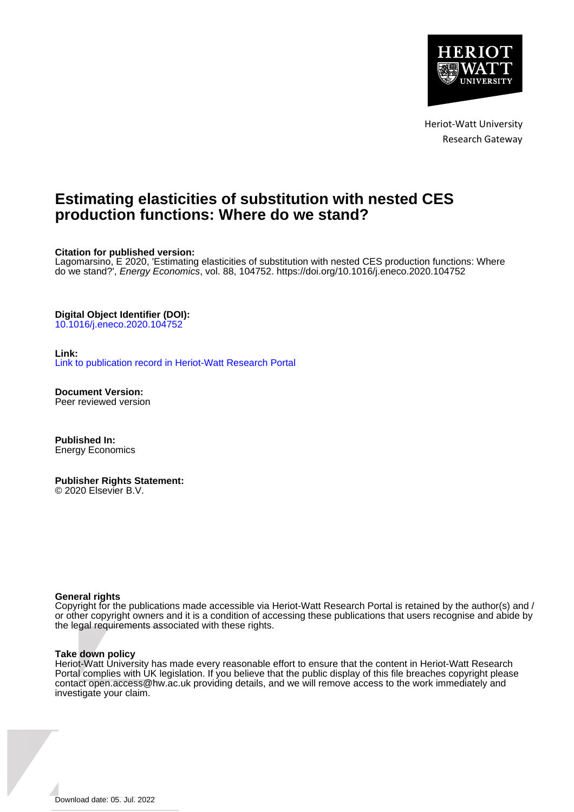

Heriot-Watt University Research Gateway

# **Estimating elasticities of substitution with nested CES production functions: Where do we stand?**

**Citation for published version:**

Lagomarsino, E 2020, 'Estimating elasticities of substitution with nested CES production functions: Where do we stand?', Energy Economics, vol. 88, 104752. <https://doi.org/10.1016/j.eneco.2020.104752>

#### **Digital Object Identifier (DOI):**

[10.1016/j.eneco.2020.104752](https://doi.org/10.1016/j.eneco.2020.104752)

#### **Link:**

[Link to publication record in Heriot-Watt Research Portal](https://researchportal.hw.ac.uk/en/publications/8d2bb056-87ee-4da8-904e-2e5ba8015e5f)

**Document Version:** Peer reviewed version

**Published In:** Energy Economics

**Publisher Rights Statement:** © 2020 Elsevier B.V.

#### **General rights**

Copyright for the publications made accessible via Heriot-Watt Research Portal is retained by the author(s) and / or other copyright owners and it is a condition of accessing these publications that users recognise and abide by the legal requirements associated with these rights.

#### **Take down policy**

Heriot-Watt University has made every reasonable effort to ensure that the content in Heriot-Watt Research Portal complies with UK legislation. If you believe that the public display of this file breaches copyright please contact open.access@hw.ac.uk providing details, and we will remove access to the work immediately and investigate your claim.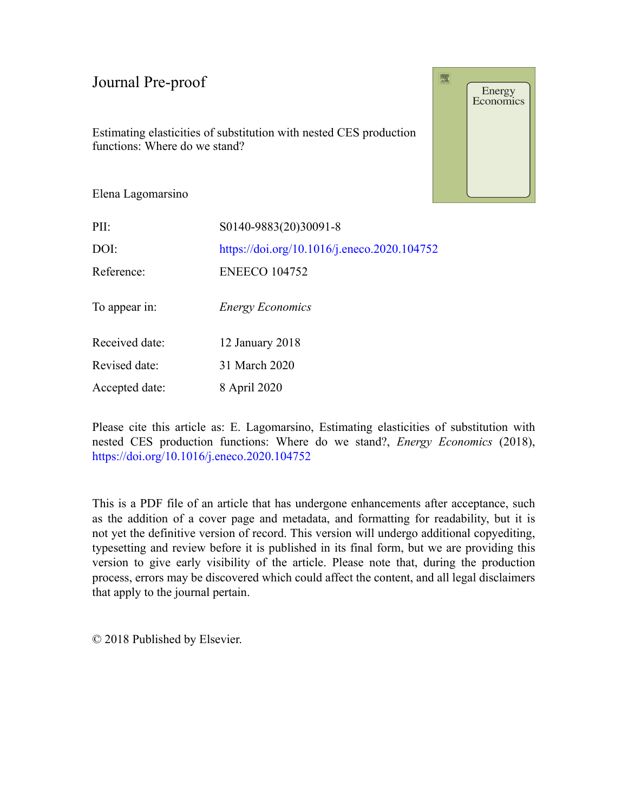Estimating elasticities of substitution with nested CES production functions: Where do we stand?

Energy<br>Economics

覆

Elena Lagomarsino

| PII:           | S0140-9883(20)30091-8                       |
|----------------|---------------------------------------------|
| DOI:           | https://doi.org/10.1016/j.eneco.2020.104752 |
| Reference:     | <b>ENEECO 104752</b>                        |
| To appear in:  | <b>Energy Economics</b>                     |
| Received date: | 12 January 2018                             |
| Revised date:  | 31 March 2020                               |
| Accepted date: | 8 April 2020                                |

Please cite this article as: E. Lagomarsino, Estimating elasticities of substitution with nested CES production functions: Where do we stand?, *Energy Economics* (2018), <https://doi.org/10.1016/j.eneco.2020.104752>

This is a PDF file of an article that has undergone enhancements after acceptance, such as the addition of a cover page and metadata, and formatting for readability, but it is not yet the definitive version of record. This version will undergo additional copyediting, typesetting and review before it is published in its final form, but we are providing this version to give early visibility of the article. Please note that, during the production process, errors may be discovered which could affect the content, and all legal disclaimers that apply to the journal pertain.

© 2018 Published by Elsevier.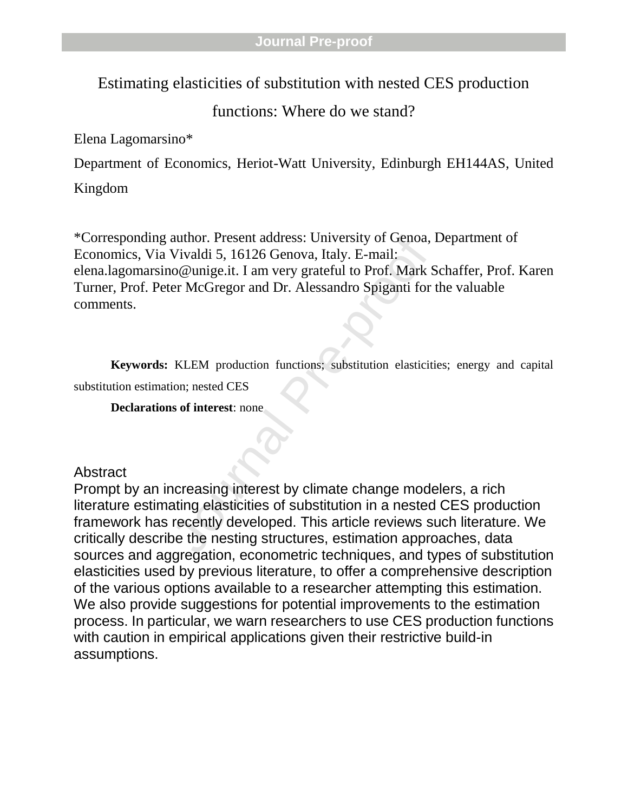Estimating elasticities of substitution with nested CES production

functions: Where do we stand?

Elena Lagomarsino\*

Department of Economics, Heriot-Watt University, Edinburgh EH144AS, United

Kingdom

author. Present address: University of Genoa,<br>Vivaldi 5, 16126 Genova, Italy. E-mail:<br>
io@unige.it. I am very grateful to Prof. Mark S<br>
er McGregor and Dr. Alessandro Spiganti for<br>
KLEM production functions; substitution e \*Corresponding author. Present address: University of Genoa, Department of Economics, Via Vivaldi 5, 16126 Genova, Italy. E-mail: elena.lagomarsino@unige.it. I am very grateful to Prof. Mark Schaffer, Prof. Karen Turner, Prof. Peter McGregor and Dr. Alessandro Spiganti for the valuable comments.

**Keywords:** KLEM production functions; substitution elasticities; energy and capital substitution estimation; nested CES

**Declarations of interest**: none

Abstract

Prompt by an increasing interest by climate change modelers, a rich literature estimating elasticities of substitution in a nested CES production framework has recently developed. This article reviews such literature. We critically describe the nesting structures, estimation approaches, data sources and aggregation, econometric techniques, and types of substitution elasticities used by previous literature, to offer a comprehensive description of the various options available to a researcher attempting this estimation. We also provide suggestions for potential improvements to the estimation process. In particular, we warn researchers to use CES production functions with caution in empirical applications given their restrictive build-in assumptions.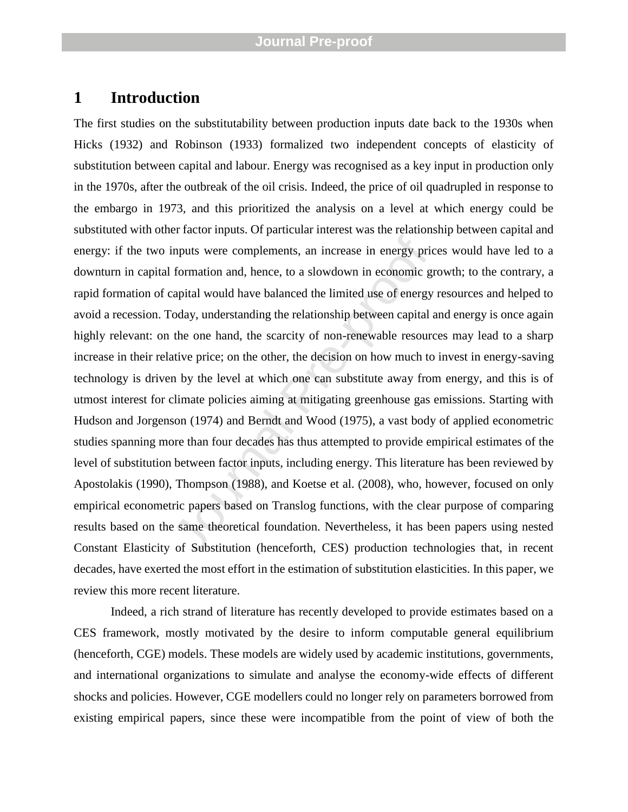# **1 Introduction**

inputs were complements, an increase in energy pric<br>formation and, hence, to a slowdown in economic grapital would have balanced the limited use of energy<br>oday, understanding the relationship between capital a<br>the one hand The first studies on the substitutability between production inputs date back to the 1930s when Hicks (1932) and Robinson (1933) formalized two independent concepts of elasticity of substitution between capital and labour. Energy was recognised as a key input in production only in the 1970s, after the outbreak of the oil crisis. Indeed, the price of oil quadrupled in response to the embargo in 1973, and this prioritized the analysis on a level at which energy could be substituted with other factor inputs. Of particular interest was the relationship between capital and energy: if the two inputs were complements, an increase in energy prices would have led to a downturn in capital formation and, hence, to a slowdown in economic growth; to the contrary, a rapid formation of capital would have balanced the limited use of energy resources and helped to avoid a recession. Today, understanding the relationship between capital and energy is once again highly relevant: on the one hand, the scarcity of non -renewable resources may lead to a sharp increase in their relative price; on the other, the decision on how much to invest in energy -saving technology is driven by the level at which one can substitute away from energy, and this is of utmost interest for climate policies aiming at mitigating greenhouse gas emissions. Starting with Hudson and Jorgenson (1974) and Berndt and Wood (1975), a vast body of applied econometric studies spanning more than four decades has thus attempted to provide empirical estimates of the level of substitution between factor inputs, including energy. This literature has been reviewed by Apostolakis (1990), Thompson (1988), and Koetse et al. (2008), who, however, focused on only empirical econometric papers based on Translog functions, with the clear purpose of comparing results based on the same theoretical foundation. Nevertheless, it has been papers using nested Constant Elasticity of Substitution (henceforth, CES) production technologies that, in recent decades, have exerted the most effort in the estimation of substitution elasticities. In this paper, we review this more recent literature.

Indeed, a rich strand of literature has recently developed to provide estimates based on a CES framework, mostly motivated by the desire to inform computable general equilibrium (henceforth, CGE) models. These models are widely used by academic institutions, governments, and international organizations to simulate and analyse the economy -wide effects of different shocks and policies. However, CGE modellers could no longer rely on parameters borrowed from existing empirical papers, since these were incompatible from the point of view of both the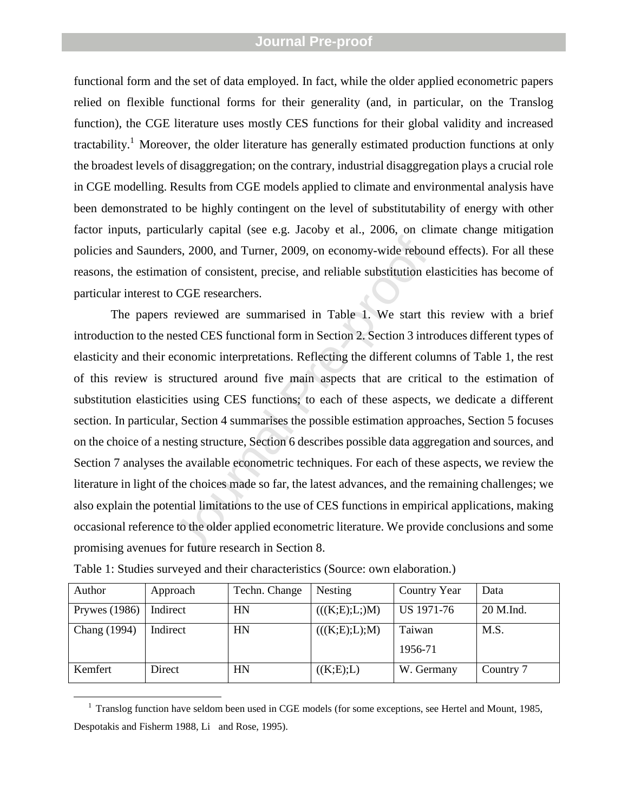functional form and the set of data employed. In fact, while the older applied econometric papers relied on flexible functional forms for their generality (and, in particular, on the Translog function), the CGE literature uses mostly CES functions for their global validity and increased tractability.<sup>1</sup> Moreover, the older literature has generally estimated production functions at only the broadest levels of disaggregation; on the contrary, industrial disaggregation plays a crucial role in CGE modelling. Results from CGE models applied to climate and environmental analysis have been demonstrated to be highly contingent on the level of substitutability of energy with other factor inputs, particularly capital (see e.g. Jacoby et al., 2006, on climate change mitigation policies and Saunders, 2000, and Turner, 2009, on economy -wide rebound effects). For all these reasons, the estimation of consistent, precise, and reliable substitution elasticities has become of particular interest to CGE researchers.

ers, 2000, and Turner, 2009, on economy-wide reboution of consistent, precise, and reliable substitution el<br>
DCGE researchers.<br>
reviewed are summarised in Table 1. We start the<br>
nested CES functional form in Section 2. Sec The papers reviewed are summarised in Table 1. We start this review with a brief introduction to the nested CES functional form in Section 2. Section 3 introduces different types of elasticity and their economic interpretations. Reflecting the different columns of Table 1, the rest of this review is structured around five main aspects that are critical to the estimation of substitution elasticities using CES functions; to each of these aspects, we dedicate a different section. In particular, Section 4 summarises the possible estimation approaches, Section 5 focuses on the choice of a nesting structure, Section 6 describes possible data aggregation and sources, and Section 7 analyses the available econometric techniques. For each of these aspects, we review the literature in light of the choices made so far, the latest advances, and the remaining challenges; we also explain the potential limitations to the use of CES functions in empirical applications, making occasional reference to the older applied econometric literature. We provide conclusions and some promising avenues for future research in Section 8.

| Author          | Approach | Techn. Change | Nesting       | Country Year      | Data      |
|-----------------|----------|---------------|---------------|-------------------|-----------|
| Prywes $(1986)$ | Indirect | HN            | (((K;E);L;)M) | US 1971-76        | 20 M.Ind. |
| Chang (1994)    | Indirect | HN            | (((K;E);L);M) | Taiwan<br>1956-71 | M.S.      |
| Kemfert         | Direct   | <b>HN</b>     | ((K;E);L)     | W. Germany        | Country 7 |

Table 1: Studies surveyed and their characteristics (Source: own elaboration.)

<sup>1</sup> Translog function have seldom been used in CGE models (for some exceptions, see Hertel and Mount, 1985, Despotakis and Fisherm 1988, Li and Rose, 1995 ) .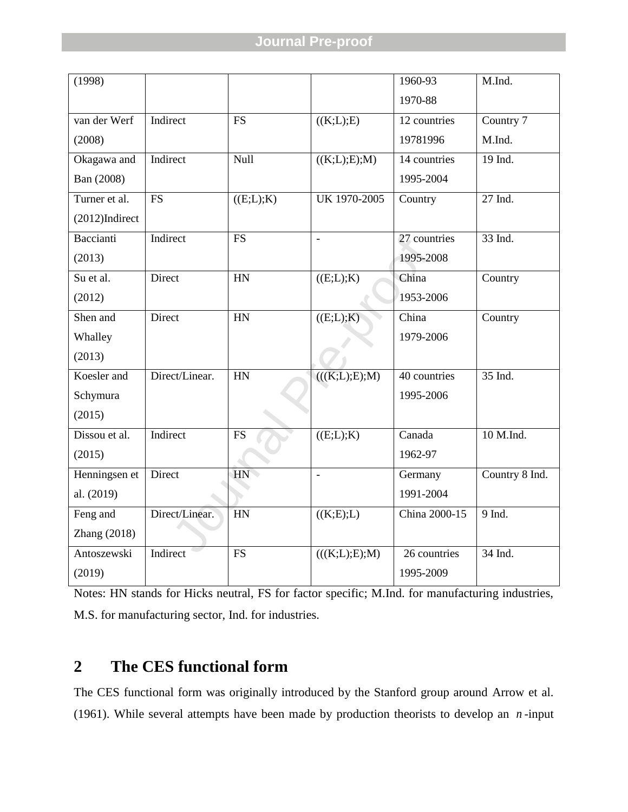| (1998)            |                |           |                            | 1960-93       | M.Ind.         |
|-------------------|----------------|-----------|----------------------------|---------------|----------------|
|                   |                |           |                            | 1970-88       |                |
| van der Werf      | Indirect       | <b>FS</b> | ((K;L);E)                  | 12 countries  | Country 7      |
| (2008)            |                |           |                            | 19781996      | M.Ind.         |
| Okagawa and       | Indirect       | Null      | ((K;L);E);M)               | 14 countries  | 19 Ind.        |
| Ban (2008)        |                |           |                            | 1995-2004     |                |
| Turner et al.     | <b>FS</b>      | ((E;L);K) | UK 1970-2005               | Country       | 27 Ind.        |
| $(2012)$ Indirect |                |           |                            |               |                |
| Baccianti         | Indirect       | <b>FS</b> | $\equiv$                   | 27 countries  | 33 Ind.        |
| (2013)            |                |           |                            | 1995-2008     |                |
| Su et al.         | Direct         | HN        | ((E;L);K)                  | China         | Country        |
| (2012)            |                |           |                            | 1953-2006     |                |
| Shen and          | Direct         | HN        | ((E;L);K)                  | China         | Country        |
| Whalley           |                |           |                            | 1979-2006     |                |
| (2013)            |                |           |                            |               |                |
| Koesler and       | Direct/Linear. | HN        | $\overline{(((K;L);E);M)}$ | 40 countries  | 35 Ind.        |
| Schymura          |                |           |                            | 1995-2006     |                |
| (2015)            |                |           |                            |               |                |
| Dissou et al.     | Indirect       | <b>FS</b> | ((E;L);K)                  | Canada        | 10 M.Ind.      |
| (2015)            |                |           |                            | 1962-97       |                |
| Henningsen et     | Direct         | HN        | $\overline{a}$             | Germany       | Country 8 Ind. |
| al. (2019)        |                |           |                            | 1991-2004     |                |
| Feng and          | Direct/Linear. | HN        | ((K;E);L)                  | China 2000-15 | 9 Ind.         |
| Zhang (2018)      |                |           |                            |               |                |
| Antoszewski       | Indirect       | <b>FS</b> | (((K;L);E);M)              | 26 countries  | 34 Ind.        |
| (2019)            |                |           |                            | 1995-2009     |                |

Notes: HN stands for Hicks neutral, FS for factor specific; M.Ind. for manufacturing industries, M.S. for manufacturing sector, Ind. for industries.

# **2 The CES functional form**

The CES functional form was originally introduced by the Stanford group around Arrow et al. (1961). While several attempts have been made by production theorists to develop an *n* -input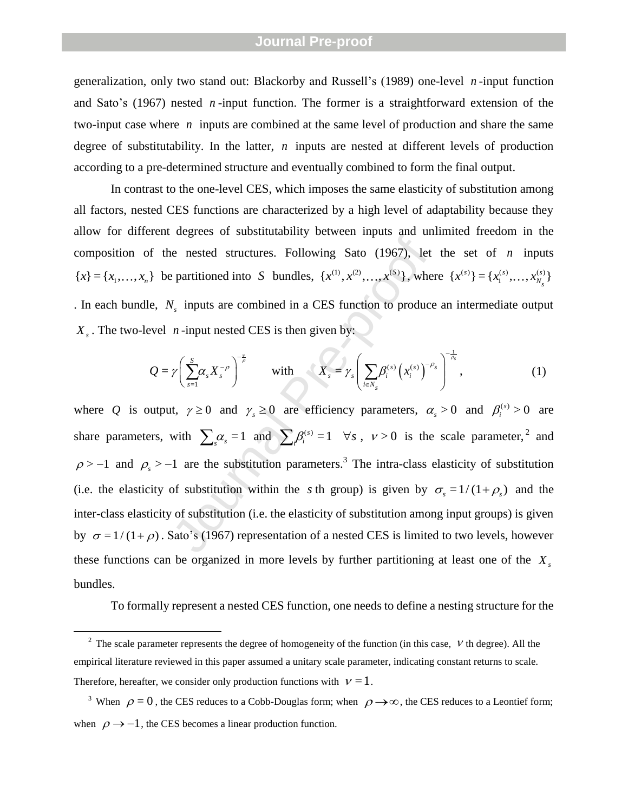generalization, only two stand out: Blackorby and Russell's (1989 ) one -level *n* -input function and Sato's (1967 ) nested *n* -input function. The former is a straightforward extension of the two-input case where *n* inputs are combined at the same level of production and share the same degree of substitutability. In the latter, *n* inputs are nested at different levels of production according to a pre -determined structure and eventually combined to form the final output.

In contrast to the one -level CES, which imposes the same elasticity of substitution among all factors, nested CES functions are characterized by a high level of adaptability because they allow for different degrees of substitutability between inputs and unlimited freedom in the composition of the nested structures. Following Sato (1967), let the set of *n* inputs  ${x} = {x_1, ..., x_n}$  be partitioned into *S* bundles,  ${x<sup>(1)</sup>, x<sup>(2)</sup>, ..., x<sup>(S)</sup>}$ , where  ${x<sup>(s)</sup>} = {x<sub>1</sub><sup>(s)</sup>, ..., x<sub>N<sub>s</sub><sub>s</sub>}<sup>(s)</sup>}</sub>$ . In each bundle,  $N_s$  inputs are combined in a CES function to produce an intermediate output  $X_s$ . The two-level *n*-input nested CES is then given by:

even *n*-input nested CES is then given by:

\n
$$
Q = \gamma \left( \sum_{s=1}^{S} \alpha_s X_s^{-\rho} \right)^{-\frac{\nu}{\rho}}
$$
\nwith 
$$
X_s = \gamma_s \left( \sum_{i \in N_s} \beta_i^{(s)} \left( x_i^{(s)} \right)^{-\rho_s} \right)^{-\frac{1}{\rho_s}},
$$
\n(1)

between the mate and and and and the mested structures. Following Sato (1967), let<br>
be partitioned into S bundles,  $\{x^{(1)}, x^{(2)},...,x^{(S)}\}$ , when<br>  $V_s$  inputs are combined in a CES function to produce<br>
n -input nested CES i where Q is output,  $\gamma \ge 0$  and  $\gamma_s \ge 0$  are efficiency parameters,  $\alpha_s > 0$  and  $\beta_i^{(s)} > 0$  are share parameters, with  $\sum_{s} \alpha_{s} = 1$  and  $\sum_{i} \beta_{i}^{(s)} = 1 \quad \forall s$ ,  $v > 0$  is the scale parameter,<sup>2</sup> and  $\rho$  > -1 and  $\rho_s$  > -1 are the substitution parameters.<sup>3</sup> The intra-class elasticity of substitution (i.e. the elasticity of substitution within the s th group) is given by  $\sigma_s = 1/(1 + \rho_s)$  and the inter -class elasticity of substitution (i.e. the elasticity of substitution among input groups) is given by  $\sigma = 1/(1+\rho)$ . Sato's (1967) representation of a nested CES is limited to two levels, however these functions can be organized in more levels by further partitioning at least one of the *X s* bundles.

To formally represent a nested CES function, one needs to define a nesting structure for the

 $\overline{a}$ 

<sup>&</sup>lt;sup>2</sup> The scale parameter represents the degree of homogeneity of the function (in this case,  $V$  th degree). All the empirical literature reviewed in this paper assumed a unitary scale parameter, indicating constant returns to scale. Therefore, hereafter, we consider only production functions with  $v = 1$ .

<sup>&</sup>lt;sup>3</sup> When  $\rho = 0$ , the CES reduces to a Cobb-Douglas form; when  $\rho \rightarrow \infty$ , the CES reduces to a Leontief form; when  $\rho \rightarrow -1$ , the CES becomes a linear production function.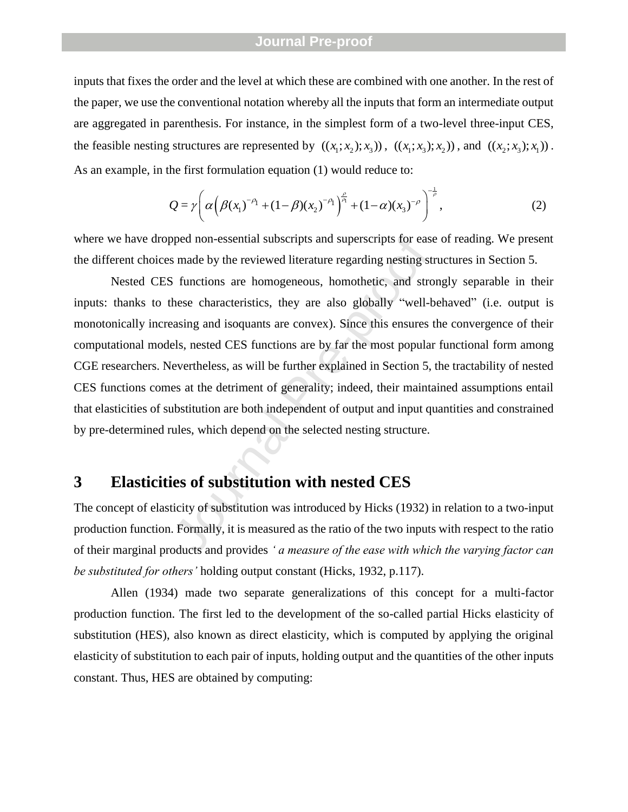inputs that fixes the order and the level at which these are combined with one another. In the rest of the paper, we use the conventional notation whereby all the inputs that form an intermediate output are aggregated in parenthesis. For instance, in the simplest form of a two-level three-input CES, the feasible nesting structures are represented by  $((x_1; x_2); x_3)$ ,  $((x_1; x_3); x_2)$ , and  $((x_2; x_3); x_1)$ .

As an example, in the first formulation equation (1) would reduce to:  
\n
$$
Q = \gamma \left( \alpha \left( \beta (x_1)^{-\rho_1} + (1-\beta)(x_2)^{-\rho_1} \right)^{\frac{\rho}{\rho_1}} + (1-\alpha)(x_3)^{-\rho} \right)^{-\frac{1}{\rho}},
$$
\n(2)

where we have dropped non-essential subscripts and superscripts for ease of reading. We present the different choices made by the reviewed literature regarding nesting structures in Section 5.

by the reviewed literature regarding nestings to<br>s made by the reviewed literature regarding nesting st<br>S functions are homogeneous, homothetic, and stro<br>hese characteristics, they are also globally "well-b<br>easing and isoq Nested CES functions are homogeneous, homothetic, and strongly separable in their inputs: thanks to these characteristics, they are also globally "well-behaved" (i.e. output is monotonically increasing and isoquants are convex). Since this ensures the convergence of their computational models, nested CES functions are by far the most popular functional form among CGE researchers. Nevertheless, as will be further explained in Section 5, the tractability of nested CES functions comes at the detriment of generality; indeed, their maintained assumptions entail that elasticities of substitution are both independent of output and input quantities and constrained by pre-determined rules, which depend on the selected nesting structure.

# **3 Elasticities of substitution with nested CES**

The concept of elasticity of substitution was introduced by Hicks (1932) in relation to a two-input production function. Formally, it is measured as the ratio of the two inputs with respect to the ratio of their marginal products and provides *' a measure of the ease with which the varying factor can be substituted for others'* holding output constant (Hicks, 1932, p.117).

Allen (1934) made two separate generalizations of this concept for a multi-factor production function. The first led to the development of the so-called partial Hicks elasticity of substitution (HES), also known as direct elasticity, which is computed by applying the original elasticity of substitution to each pair of inputs, holding output and the quantities of the other inputs constant. Thus, HES are obtained by computing: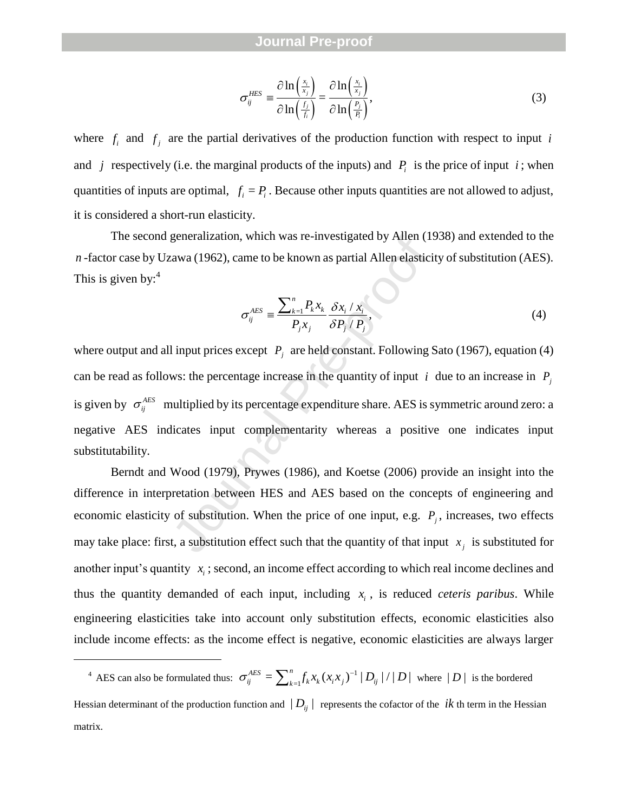$$
\sigma_{ij}^{HES} \equiv \frac{\partial \ln\left(\frac{x_i}{x_j}\right)}{\partial \ln\left(\frac{f_j}{f_i}\right)} = \frac{\partial \ln\left(\frac{x_i}{x_j}\right)}{\partial \ln\left(\frac{P_j}{P_i}\right)},\tag{3}
$$

where  $f_i$  and  $f_j$  are the partial derivatives of the production function with respect to input *i* and *j* respectively (i.e. the marginal products of the inputs) and  $P_i$  is the price of input *i*; when quantities of inputs are optimal,  $f_i = P_i$ . Because other inputs quantities are not allowed to adjust, it is considered a short -run elasticity.

The second generalization, which was re -investigated by Allen (1938) and extended to the *n* -factor case by Uzawa (1962), came to be known as partial Allen elasticity of substitution (AES). This is given by:<sup>4</sup>

$$
\sigma_{ij}^{AES} \equiv \frac{\sum_{k=1}^{n} P_k x_k}{P_j x_j} \frac{\delta x_i / x_i}{\delta P_j / P_j},
$$
\n(4)

 $\sigma_{ij}^{HES} = \frac{\partial \ln\left(\frac{x_i}{x_j}\right)}{\partial \ln\left(\frac{f_i}{f_i}\right)} = \frac{\partial \ln\left(\frac{x_i}{x_j}\right)}{\partial \ln\left(\frac{f_i}{f_i}\right)}$ ,<br>are the partial derivatives of the production function<br>(i.e. the marginal products of the inputs) and  $P_i$  is th<br>are optimal,  $f_i = P_i$ . B where output and all input prices except  $P_j$  are held constant. Following Sato (1967), equation (4) can be read as follows: the percentage increase in the quantity of input *i* due to an increase in  $P_i$ is given by  $\sigma_{ij}^{AES}$  multiplied by its percentage expenditure share. AES is symmetric around zero: a negative AES indicates input complementarity whereas a positive one indicates input substitutability.

Berndt and Wood (1979), Prywes (1986), and Koetse (2006) provide an insight into the difference in interpretation between HES and AES based on the concepts of engineering and economic elasticity of substitution. When the price of one input, e.g.  $P_j$ , increases, two effects may take place: first, a substitution effect such that the quantity of that input  $x_j$  is substituted for another input's quantity  $x_i$ ; second, an income effect according to which real income declines and thus the quantity demanded of each input, including  $x_i$ , is reduced *ceteris paribus*. While engineering elasticities take into account only substitution effects, economic elasticities also include income effects: as the income effect is negative, economic elasticities are always larger

 $\overline{a}$ 

<sup>&</sup>lt;sup>4</sup> AES can also be formulated thus:  $\sigma_{ii}^{AES} = \sum_{i=1}^{n} f_{k} x_{k} (x_{i}, x_{i})^{-1}$  $\sigma_{ij}^{AES} = \sum_{k=1}^{n} f_k x_k (x_i x_j)^{-1} |D_{ij}| / |D|$  where  $|D|$  is the bordered Hessian determinant of the production function and  $|D_{ij}|$  represents the cofactor of the  $ik$  th term in the Hessian matrix.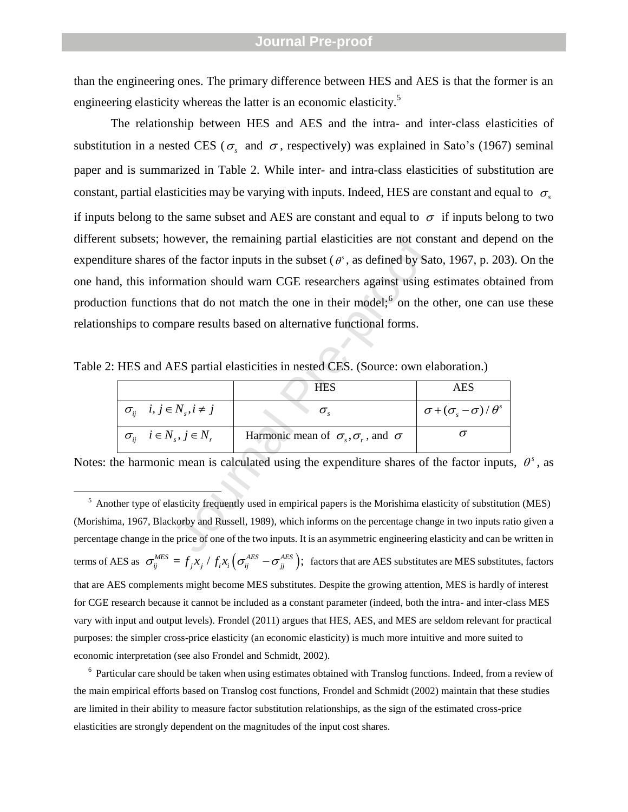than the engineering ones. The primary difference between HES and AES is that the former is an engineering elasticity whereas the latter is an economic elasticity.<sup>5</sup>

owever, the remaining partial elasticities are not conservation of the factor inputs in the subset ( $\theta^s$ , as defined by Satemation should warn CGE researchers against using as that do not match the one in their model;<sup>6</sup> The relationship between HES and AES and the intra - and inter -class elasticities of substitution in a nested CES ( $\sigma_s$  and  $\sigma$ , respectively) was explained in Sato's (1967) seminal paper and is summarized in Table 2. While inter - and intra -class elasticities of substitution are constant, partial elasticities may be varying with inputs. Indeed, HES are constant and equal to  $\sigma_s$ if inputs belong to the same subset and AES are constant and equal to  $\sigma$  if inputs belong to two different subsets; however, the remaining partial elasticities are not constant and depend on the expenditure shares of the factor inputs in the subset  $(\theta^s)$ , as defined by Sato, 1967, p. 203). On the one hand, this information should warn CGE researchers against using estimates obtained from production functions that do not match the one in their model; $<sup>6</sup>$  on the other, one can use these</sup> relationships to compare results based on alternative functional forms.

|                                         | <b>HES</b>                                                       | <b>AES</b>                                                           |
|-----------------------------------------|------------------------------------------------------------------|----------------------------------------------------------------------|
| $\sigma_{ii}$ $i, j \in N_s, i \neq j$  |                                                                  | $\sigma$ + $(\sigma_{\scriptscriptstyle S}$ - $\sigma)$ / $\theta^s$ |
| $\sigma_{ii}$ $i \in N_s$ , $j \in N_r$ | Harmonic mean of $\sigma_{\rm s}, \sigma_{\rm r}$ , and $\sigma$ |                                                                      |

Table 2: HES and AES partial elasticities in nested CES. (Source: own elaboration.)

Notes: the harmonic mean is calculated using the expenditure shares of the factor inputs,  $\theta^s$ , as

<sup>5</sup> Another type of elasticity frequently used in empirical papers is the Morishima elasticity of substitution (MES) (Morishima, 1967, Blackorby and Russell, 1989), which informs on the percentage change in two inputs ratio given a percentage change in the price of one of the two inputs. It is an asymmetric engineering elasticity and can be written in terms of AES as  $\sigma_{ij}^{MES} = f_j x_j / f_i x_i (\sigma_{ij}^{AES} - \sigma_{jj}^{AES})$ ; factors that are AES substitutes are MES substitutes, factors that are AES complements might become MES substitutes. Despite the growing attention, MES is hardly of interest for CGE research because it cannot be included as a constant parameter (indeed, both the intra- and inter-class MES vary with input and output levels). Frondel (2011) argues that HES, AES, and MES are seldom relevant for practical purposes: the simpler cross -price elasticity (an economic elasticity) is much more intuitive and more suited to economic interpretation (see also Frondel and Schmidt, 2002).

<sup>6</sup> Particular care should be taken when using estimates obtained with Translog functions. Indeed, from a review of the main empirical efforts based on Translog cost functions, Frondel and Schmidt (2002) maintain that these studies are limited in their ability to measure factor substitution relationships, as the sign of the estimated cross -price elasticities are strongly dependent on the magnitudes of the input cost shares.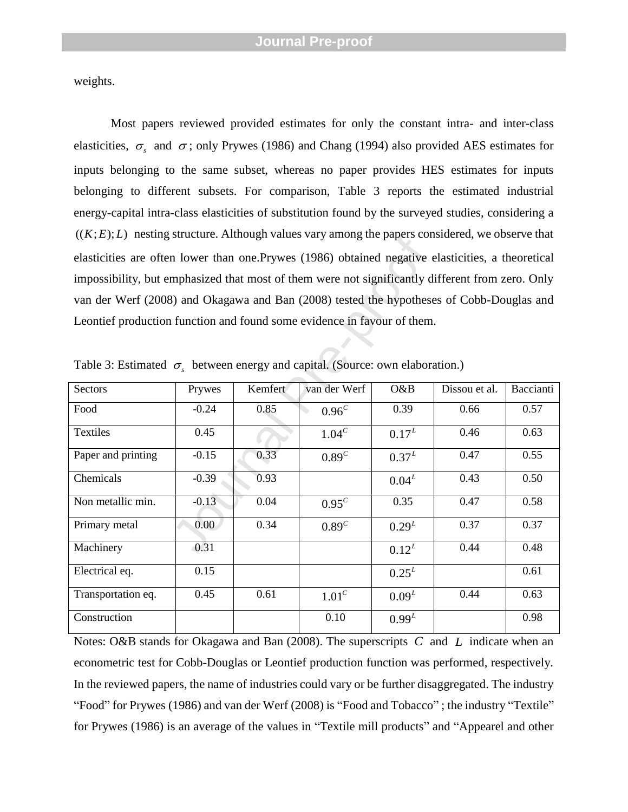weights.

Most papers reviewed provided estimates for only the constant intra- and inter-class elasticities,  $\sigma_s$  and  $\sigma$ ; only Prywes (1986) and Chang (1994) also provided AES estimates for inputs belonging to the same subset, whereas no paper provides HES estimates for inputs belonging to different subsets. For comparison, Table 3 reports the estimated industrial energy-capital intra-class elasticities of substitution found by the surveyed studies, considering a  $((K; E); L)$  nesting structure. Although values vary among the papers considered, we observe that elasticities are often lower than one.Prywes (1986) obtained negative elasticities, a theoretical impossibility, but emphasized that most of them were not significantly different from zero. Only van der Werf (2008) and Okagawa and Ban (2008) tested the hypotheses of Cobb -Douglas and Leontief production function and found some evidence in favour of them.

| $((A, E), E)$ fiesting structure. Although values vary among the papers considered, we observe that |         |         |                   |                   |               |           |
|-----------------------------------------------------------------------------------------------------|---------|---------|-------------------|-------------------|---------------|-----------|
| elasticities are often lower than one. Prywes (1986) obtained negative elasticities, a theoretical  |         |         |                   |                   |               |           |
| impossibility, but emphasized that most of them were not significantly different from zero. Only    |         |         |                   |                   |               |           |
| van der Werf (2008) and Okagawa and Ban (2008) tested the hypotheses of Cobb-Douglas and            |         |         |                   |                   |               |           |
| Leontief production function and found some evidence in favour of them.                             |         |         |                   |                   |               |           |
|                                                                                                     |         |         |                   |                   |               |           |
| Table 3: Estimated $\sigma_s$ between energy and capital. (Source: own elaboration.)                |         |         |                   |                   |               |           |
| Sectors                                                                                             | Prywes  | Kemfert | van der Werf      | O&B               | Dissou et al. | Baccianti |
| Food                                                                                                | $-0.24$ | 0.85    | 0.96 <sup>c</sup> | 0.39              | 0.66          | 0.57      |
| Textiles                                                                                            | 0.45    |         | 1.04 <sup>c</sup> | $0.17^{L}$        | 0.46          | 0.63      |
| Paper and printing                                                                                  | $-0.15$ | 0.33    | 0.89 <sup>c</sup> | $0.37^{L}$        | 0.47          | 0.55      |
| Chemicals                                                                                           | $-0.39$ | 0.93    |                   | $0.04^{L}$        | 0.43          | 0.50      |
| Non metallic min.                                                                                   | $-0.13$ | 0.04    | $0.95^{c}$        | 0.35              | 0.47          | 0.58      |
| Primary metal                                                                                       | 0.00    | 0.34    | 0.89 <sup>c</sup> | $0.29^{L}$        | 0.37          | 0.37      |
| Machinery                                                                                           | 0.31    |         |                   | $0.12^{L}$        | 0.44          | 0.48      |
| Electrical eq.                                                                                      | 0.15    |         |                   | $0.25^{L}$        |               | 0.61      |
| Transportation eq.                                                                                  | 0.45    | 0.61    | 1.01 <sup>c</sup> | 0.09 <sup>L</sup> | 0.44          | 0.63      |
| Construction                                                                                        |         |         | 0.10              | $0.99^{L}$        |               | 0.98      |

Table 3: Estimated  $\sigma_s$  between energy and capital. (Source: own elaboration.)

Notes: O&B stands for Okagawa and Ban (2008). The superscripts C and L indicate when an econometric test for Cobb -Douglas or Leontief production function was performed, respectively. In the reviewed papers, the name of industries could vary or be further disaggregated. The industry "Food" for Prywes (1986) and van der Werf (2008) is "Food and Tobacco" ; the industry "Textile" for Prywes (1986) is an average of the values in "Textile mill products " and "Appearel and other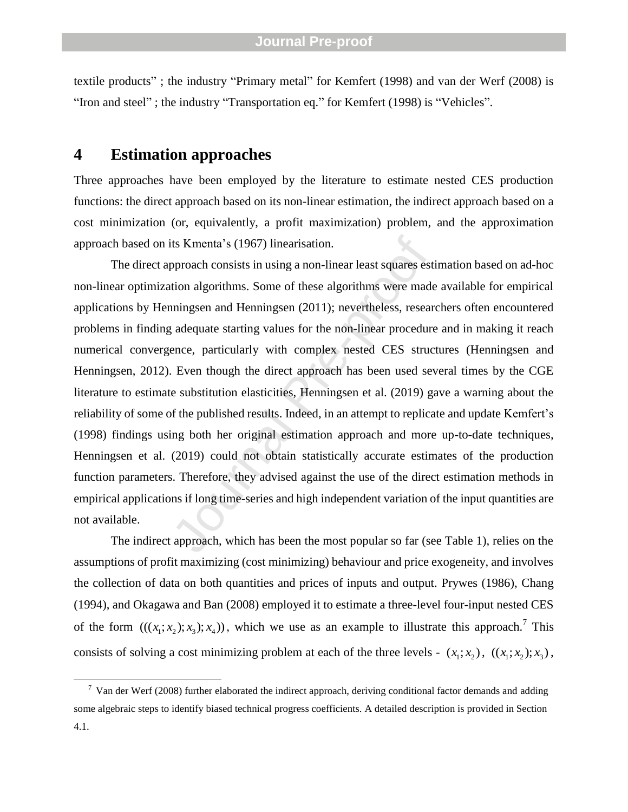textile products"; the industry "Primary metal" for Kemfert (1998) and van der Werf (2008) is "Iron and steel"; the industry "Transportation eq." for Kemfert (1998) is "Vehicles".

## **4 Estimation approaches**

Three approaches have been employed by the literature to estimate nested CES production functions: the direct approach based on its non -linear estimation, the indirect approach based on a cost minimization (or, equivalently, a profit maximization) problem, and the approximation approach based on its Kmenta's (1967 ) linearisation.

its Kmenta's (1967) linearisation.<br>pproach consists in using a non-linear least squares est<br>tion algorithms. Some of these algorithms were made<br>nningsen and Henningsen (2011); nevertheless, resear<br>adequate starting values The direct approach consists in using a non -linear least squares estimation based on ad -hoc non -linear optimization algorithms. Some of these algorithms were made available for empirical applications by Henningsen and Henningsen (2011); nevertheless, researchers often encountered problems in finding adequate starting values for the non -linear procedure and in making it reach numerical convergence, particularly with complex nested CES structures (Henningsen and Henningsen, 2012). Even though the direct approach has been used several times by the CGE literature to estimate substitution elasticities, Henningsen et al. (2019) gave a warning about the reliability of some of the published results. Indeed, in an attempt to replicate and update Kemfert's (1998) findings using both her original estimation approach and more up-to-date techniques, Henningsen et al. (2019) could not obtain statistically accurate estimates of the production function parameters. Therefore, they advised against the use of the direct estimation methods in empirical applications if long time -series and high independent variation of the input quantities are not available.

The indirect approach, which has been the most popular so far (see Table 1), relies on the assumptions of profit maximizing (cost minimizing) behaviour and price exogeneity, and involves the collection of data on both quantities and prices of inputs and output. Prywes (1986), Chang (1994), and Okagawa and Ban (2008) employed it to estimate a three -level four -input nested CES of the form  $(((x_1; x_2); x_3); x_4))$ , which we use as an example to illustrate this approach.<sup>7</sup> This consists of solving a cost minimizing problem at each of the three levels -  $(x_1; x_2)$ ,  $((x_1; x_2); x_3)$ ,

 $7$  Van der Werf (2008) further elaborated the indirect approach, deriving conditional factor demands and adding some algebraic steps to identify biased technical progress coefficients. A detailed description is provided in Section 4.1.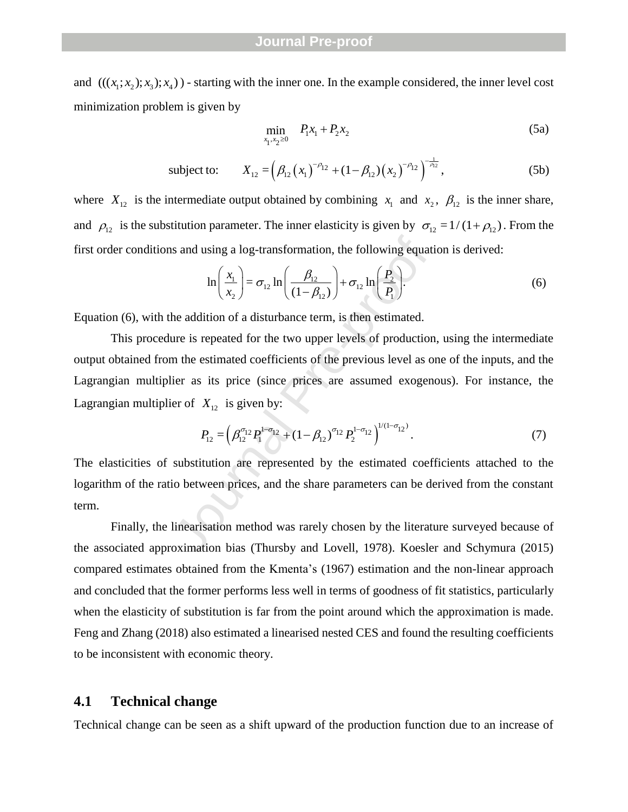and  $(((x_1; x_2); x_3); x_4))$  - starting with the inner one. In the example considered, the inner level cost minimization problem is given by

$$
\min_{x_1, x_2 \ge 0} \quad P_1 x_1 + P_2 x_2 \tag{5a}
$$

subject to: 
$$
X_{12} = (\beta_{12} (x_1)^{-\rho_{12}} + (1 - \beta_{12}) (x_2)^{-\rho_{12}})^{\frac{1}{\rho_{12}}},
$$
 (5b)

where  $X_{12}$  is the intermediate output obtained by combining  $x_1$  and  $x_2$ ,  $\beta_{12}$  is the inner share, and  $\rho_{12}$  is the substitution parameter. The inner elasticity is given by  $\sigma_{12} = 1/(1+\rho_{12})$ . From the

first order conditions and using a log-transformation, the following equation is derived:  
\n
$$
\ln\left(\frac{x_1}{x_2}\right) = \sigma_{12} \ln\left(\frac{\beta_{12}}{(1-\beta_{12})}\right) + \sigma_{12} \ln\left(\frac{P_2}{P_1}\right).
$$
\n(6)

Equation ( 6), with the addition of a disturbance term, is then estimated.

and using a log-transformation, the following equati<br>  $\ln\left(\frac{x_1}{x_2}\right) = \sigma_{12} \ln\left(\frac{\beta_{12}}{(1-\beta_{12})}\right) + \sigma_{12} \ln\left(\frac{P_2}{P_1}\right)$ .<br>
the addition of a disturbance term, is then estimated.<br>
ure is repeated for the two upper le This procedure is repeated for the two upper levels of production, using the intermediate output obtained from the estimated coefficients of the previous level as one of the inputs, and the Lagrangian multiplier as its price (since prices are assumed exogenous). For instance, the Lagrangian multiplier of  $X_{12}$  is given by:

$$
P_{12} = \left(\beta_{12}^{\sigma_{12}} P_1^{1-\sigma_{12}} + (1-\beta_{12})^{\sigma_{12}} P_2^{1-\sigma_{12}}\right)^{1/(1-\sigma_{12})}.
$$
 (7)

The elasticities of substitution are represented by the estimated coefficients attached to the logarithm of the ratio between prices, and the share parameters can be derived from the constant term.

Finally, the linearisation method was rarely chosen by the literature surveyed because of the associated approximation bias (Thursby and Lovell, 1978). Koesler and Schymura (2015) compared estimates obtained from the Kmenta's (1967 ) estimation and the non -linear approach and concluded that the former performs less well in terms of goodness of fit statistics, particularly when the elasticity of substitution is far from the point around which the approximation is made. Feng and Zhang (2018) also estimated a linearised nested CES and found the resulting coefficients to be inconsistent with economic theory.

#### **4.1 Technical change**

Technical change can be seen as a shift upward of the production function due to an increase of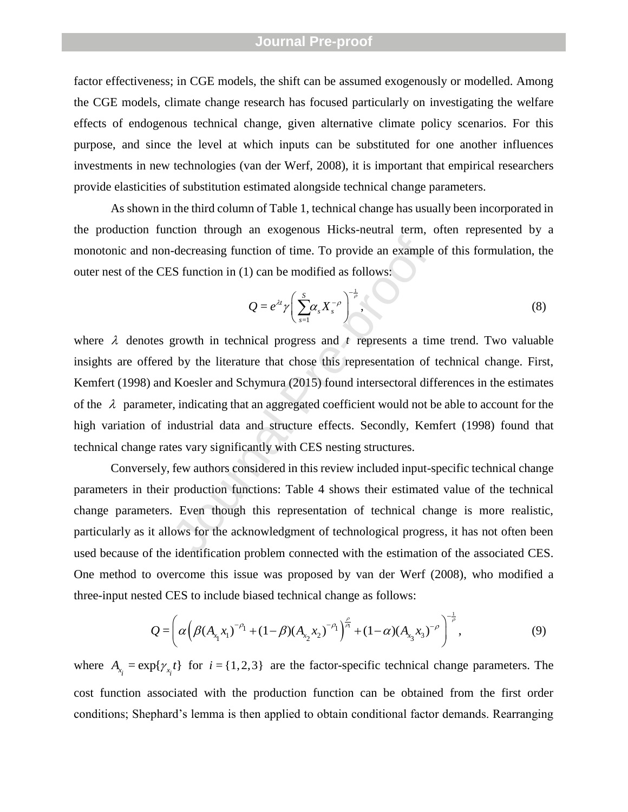factor effectiveness; in CGE models, the shift can be assumed exogenously or modelled. Among the CGE models, climate change research has focused particularly on investigating the welfare effects of endogenous technical change, given alternative climate policy scenarios. For this purpose, and since the level at which inputs can be substituted for one another influences investments in new technologies (van der Werf, 2008), it is important that empirical researchers provide elasticities of substitution estimated alongside technical change parameters.

As shown in the third column of Table 1, technical change has usually been incorporated in the production function through an exogenous Hicks -neutral term, often represented by a monotonic and non -decreasing function of time. To provide an example of this formulation, the outer nest of the CES function in (1) can be modified as follows:

$$
Q = e^{\lambda t} \gamma \left( \sum_{s=1}^{S} \alpha_s X_s^{-\rho} \right)^{\frac{1}{\rho}}, \tag{8}
$$

-decreasing function of time. To provide an example<br>
SS function in (1) can be modified as follows:<br>  $Q = e^{\lambda t} \gamma \left(\sum_{s=1}^{8} \alpha_s X_s^{-\rho}\right)^{-\frac{1}{\rho}}$ ,<br>
growth in technical progress and t represents a tin<br>
1 by the literature where  $\lambda$  denotes growth in technical progress and  $t$  represents a time trend. Two valuable insights are offered by the literature that chose this representation of technical change. First, Kemfert (1998) and Koesler and Schymura (2015) found intersectoral differences in the estimates of the  $\lambda$  parameter, indicating that an aggregated coefficient would not be able to account for the high variation of industrial data and structure effects. Secondly, Kemfert (1998) found that technical change rates vary significantly with CES nesting structures.

Conversely, few authors considered in this review included input -specific technical change parameters in their production functions: Table 4 shows their estimated value of the technical change parameters. Even though this representation of technical change is more realistic, particularly as it allows for the acknowledgment of technological progress, it has not often been used because of the identification problem connected with the estimation of the associated CES. One method to overcome this issue was proposed by van der Werf (2008), who modified a

three-input nested CES to include biased technical change as follows:  
\n
$$
Q = \left( \alpha \left( \beta (A_{x_1} x_1)^{-\rho_1} + (1-\beta) (A_{x_2} x_2)^{-\rho_1} \right)^{\frac{\rho}{\rho}} + (1-\alpha) (A_{x_3} x_3)^{-\rho} \right)^{\frac{1}{\rho}},
$$
\n(9)

where  $A_{x_i} = \exp\{\gamma_{x_i}t\}$  for  $i = \{1, 2, 3\}$  are the factor-specific technical change parameters. The cost function associated with the production function can be obtained from the first order conditions; Shephard's lemma is then applied to obtain conditional factor demands. Rearranging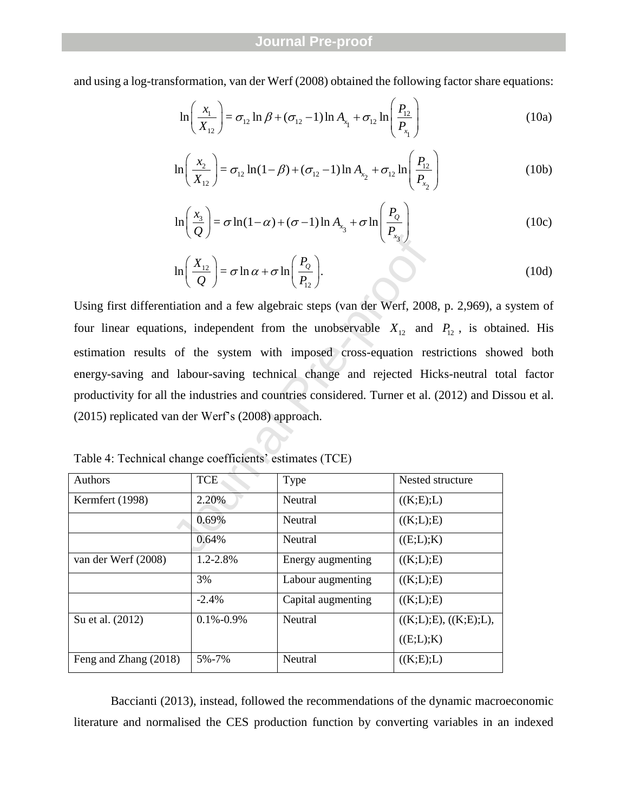and using a log-transformation, van der Werf (2008) obtained the following factor share equations:  
\n
$$
\ln\left(\frac{x_1}{X_{12}}\right) = \sigma_{12} \ln \beta + (\sigma_{12} - 1) \ln A_{x_1} + \sigma_{12} \ln\left(\frac{P_{12}}{P_{x_1}}\right)
$$
\n(10a)

$$
\left(X_{12}\right) \qquad \qquad \left(P_{x_1}\right)
$$
\n
$$
\ln\left(\frac{x_2}{X_{12}}\right) = \sigma_{12}\ln(1-\beta) + (\sigma_{12}-1)\ln A_{x_2} + \sigma_{12}\ln\left(\frac{P_{12}}{P_{x_2}}\right) \tag{10b}
$$

$$
\ln\left(\frac{x_3}{Q}\right) = \sigma \ln(1-\alpha) + (\sigma - 1)\ln A_{x_3} + \sigma \ln\left(\frac{P_0}{P_{x_3}}\right)
$$
 (10c)

$$
\ln\left(\frac{X_{12}}{Q}\right) = \sigma \ln \alpha + \sigma \ln\left(\frac{P_Q}{P_{12}}\right).
$$
 (10d)

 $\ln\left(\frac{X_{12}}{Q}\right) = \sigma \ln \alpha + \sigma \ln\left(\frac{P_o}{P_{12}}\right).$ <br>
tiation and a few algebraic steps (van der Werf, 2008<br>
ons, independent from the unobservable  $X_{12}$  and<br>
of the system with imposed cross-equation res<br>
labour-saving tech Using first differentiation and a few algebraic steps (van der Werf, 2008, p. 2,969 ), a system of four linear equations, independent from the unobservable  $X_{12}$  and  $P_{12}$ , is obtained. His estimation results of the system with imposed cross -equation restrictions showed both energy-saving and labour-saving technical change and rejected Hicks-neutral total factor productivity for all the industries and countries considered. Turner et al. (2012) and Dissou et al. (2015 ) replicated van der Werf's (2008 ) approach.

| <b>Authors</b>        | <b>TCE</b>      | Type               | Nested structure      |
|-----------------------|-----------------|--------------------|-----------------------|
| Kermfert (1998)       | 2.20%           | Neutral            | ((K;E);L)             |
|                       | 0.69%           | <b>Neutral</b>     | ((K;L);E)             |
|                       | 0.64%           | <b>Neutral</b>     | ((E;L);K)             |
| van der Werf (2008)   | 1.2-2.8%        | Energy augmenting  | ((K;L);E)             |
|                       | 3%              | Labour augmenting  | ((K;L);E)             |
|                       | $-2.4%$         | Capital augmenting | ((K;L);E)             |
| Su et al. (2012)      | $0.1\% - 0.9\%$ | <b>Neutral</b>     | ((K;L);E), ((K;E);L), |
|                       |                 |                    | ((E;L);K)             |
| Feng and Zhang (2018) | 5%-7%           | Neutral            | ((K;E);L)             |

Table 4: Technical change coefficients' estimates (TCE)

Baccianti (2013), instead, followed the recommendations of the dynamic macroeconomic literature and normalised the CES production function by converting variables in an indexed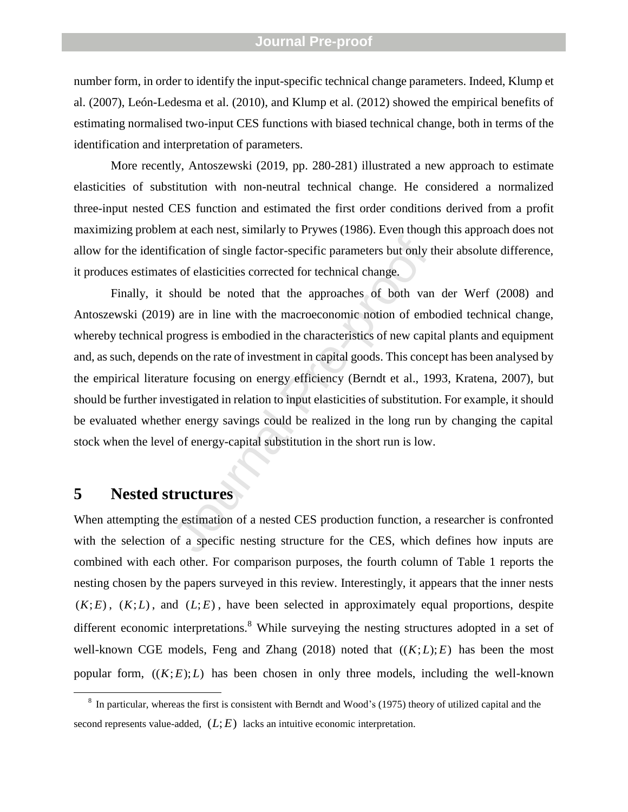number form, in order to identify the input -specific technical change parameters. Indeed, Klump et al. (2007), León -Ledesma et al. (2010), and Klump et al. (2012) showed the empirical benefits of estimating normalised two -input CES functions with biased technical change, both in terms of the identification and interpretation of parameters.

More recently, Antoszewski (2019, pp. 280 -281 ) illustrated a new approach to estimate elasticities of substitution with non -neutral technical change. He considered a normalized three -input nested CES function and estimated the first order conditions derived from a profit maximizing problem at each nest, similarly to Prywes (1986). Even though this approach does not allow for the identification of single factor -specific parameters but only their absolute difference, it produces estimates of elasticities corrected for technical change.

fication of single factor-specific parameters but only the sof elasticities corrected for technical change.<br>Should be noted that the approaches of both van are in line with the macroeconomic notion of emborgress is embodie Finally, it should be noted that the approaches of both van der Werf (2008) and Antoszewski (2019) are in line with the macroeconomic notion of embodied technical change, whereby technical progress is embodied in the characteristics of new capital plants and equipment and, as such, depends on the rate of investment in capital goods. This concept has been analysed by the empirical literature focusing on energy efficiency (Berndt et al., 1993, Kratena, 2007), but should be further investigated in relation to input elasticities of substitution. For example, it should be evaluated whether energy savings could be realized in the long run by changing the capital stock when the level of energy -capital substitution in the short run is low.

## **5 Nested structures**

When attempting the estimation of a nested CES production function, a researcher is confronted with the selection of a specific nesting structure for the CES, which defines how inputs are combined with each other. For comparison purposes, the fourth column of Table 1 reports the nesting chosen by the papers surveyed in this review. Interestingly, it appears that the inner nests  $(K; E)$ ,  $(K; L)$ , and  $(L; E)$ , have been selected in approximately equal proportions, despite different economic interpretations.<sup>8</sup> While surveying the nesting structures adopted in a set of well-known CGE models, Feng and Zhang  $(2018)$  noted that  $((K;L);E)$  has been the most popular form,  $((K; E); L)$  has been chosen in only three models, including the well-known

 $\frac{1}{8}$ In particular, whereas the first is consistent with Berndt and Wood's (1975 ) theory of utilized capital and the second represents value-added,  $(L; E)$  lacks an intuitive economic interpretation.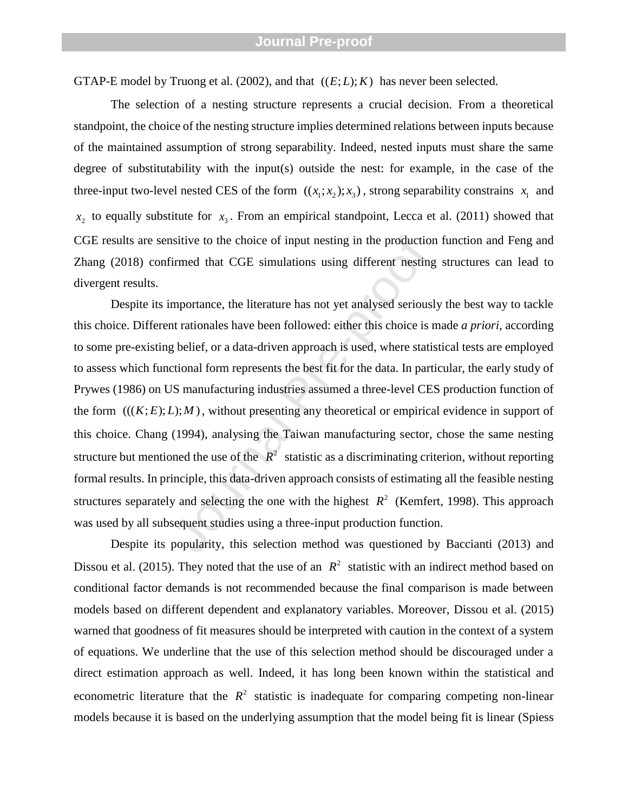GTAP-E model by Truong et al.  $(2002)$ , and that  $((E;L); K)$  has never been selected.

The selection of a nesting structure represents a crucial decision. From a theoretical standpoint, the choice of the nesting structure implies determined relations between inputs because of the maintained assumption of strong separability. Indeed, nested inputs must share the same degree of substitutability with the input(s) outside the nest: for example, in the case of the three-input two-level nested CES of the form  $((x_1; x_2); x_3)$ , strong separability constrains  $x_1$  and  $x_2$  to equally substitute for  $x_3$ . From an empirical standpoint, Lecca et al. (2011) showed that CGE results are sensitive to the choice of input nesting in the production function and Feng and Zhang (2018) confirmed that CGE simulations using different nesting structures can lead to divergent results.

usitive to the choice of input nesting in the production<br>irmed that CGE simulations using different nesting<br>mportance, the literature has not yet analysed seriousl<br>at rationales have been followed: either this choice is r Despite its importance, the literature has not yet analysed seriously the best way to tackle this choice. Different rationales have been followed: either this choice is made *a priori*, according to some pre -existing belief, or a data -driven approach is used, where statistical tests are employed to assess which functional form represents the best fit for the data. In particular, the early study of Prywes (1986) on US manufacturing industries assumed a three -level CES production function of the form  $(((K;E);L);M)$ , without presenting any theoretical or empirical evidence in support of this choice. Chang (1994), analysing the Taiwan manufacturing sector, chose the same nesting structure but mentioned the use of the  $R^2$  statistic as a discriminating criterion, without reporting formal results. In principle, this data -driven approach consists of estimating all the feasible nesting structures separately and selecting the one with the highest  $R^2$  (Kemfert, 1998). This approach was used by all subsequent studies using a three -input production function.

Despite its popularity, this selection method was questioned by Baccianti (2013) and Dissou et al. (2015). They noted that the use of an  $R^2$  statistic with an indirect method based on conditional factor demands is not recommended because the final comparison is made between models based on different dependent and explanatory variables. Moreover, Dissou et al. (2015) warned that goodness of fit measures should be interpreted with caution in the context of a system of equations. We underline that the use of this selection method should be discouraged under a direct estimation approach as well. Indeed, it has long been known within the statistical and econometric literature that the  $R^2$  statistic is inadequate for comparing competing non-linear models because it is based on the underlying assumption that the model being fit is linear (Spiess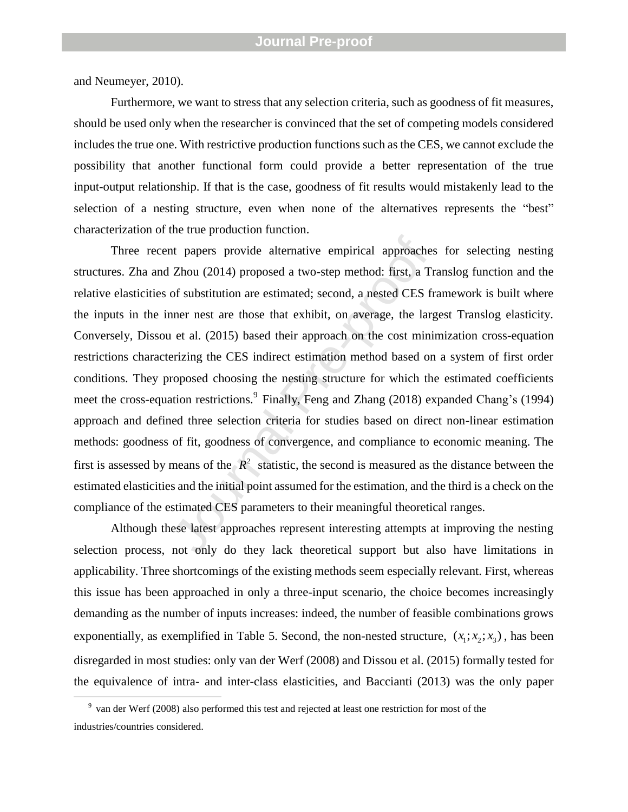and Neumeyer, 2010) .

Furthermore, we want to stress that any selection criteria, such as goodness of fit measures, should be used only when the researcher is convinced that the set of competing models considered includes the true one. With restrictive production functions such as the CES, we cannot exclude the possibility that another functional form could provide a better representation of the true input -output relationship. If that is the case, goodness of fit results would mistakenly lead to the selection of a nesting structure, even when none of the alternatives represents the "best" characterization of the true production function.

is the papers provide alternative empirical approaches<br>
Zhou (2014) proposed a two-step method: first, a Tr<br>
of substitution are estimated; second, a nested CES fr<br>
nner nest are those that exhibit, on average, the larg<br> Three recent papers provide alternative empirical approaches for selecting nesting structures. Zha and Zhou (2014) proposed a two -step method: first, a Translog function and the relative elasticities of substitution are estimated; second, a nested CES framework is built where the inputs in the inner nest are those that exhibit, on average, the largest Translog elasticity. Conversely, Dissou et al. (2015) based their approach on the cost minimization cross -equation restrictions characterizing the CES indirect estimation method based on a system of first order conditions. They proposed choosing the nesting structure for which the estimated coefficients meet the cross-equation restrictions.<sup>9</sup> Finally, Feng and Zhang (2018) expanded Chang's (1994) approach and defined three selection criteria for studies based on direct non -linear estimation methods: goodness of fit, goodness of convergence, and compliance to economic meaning. The first is assessed by means of the  $R^2$  statistic, the second is measured as the distance between the estimated elasticities and the initial point assumed for the estimation, and the third is a check on the compliance of the estimated CES parameters to their meaningful theoretical ranges.

Although these latest approaches represent interesting attempts at improving the nesting selection process, not only do they lack theoretical support but also have limitations in applicability. Three shortcomings of the existing methods seem especially relevant. First, whereas this issue has been approached in only a three -input scenario, the choice becomes increasingly demanding as the number of inputs increases: indeed, the number of feasible combinations grows exponentially, as exemplified in Table 5. Second, the non-nested structure,  $(x_1; x_2; x_3)$ , has been disregarded in most studies: only van der Werf (2008) and Dissou et al. (2015) formally tested for the equivalence of intra - and inter -class elasticities, and Baccianti (2013) was the only paper

9 van der Werf (2008) also performed this test and rejected at least one restriction for most of the industries/countries considered.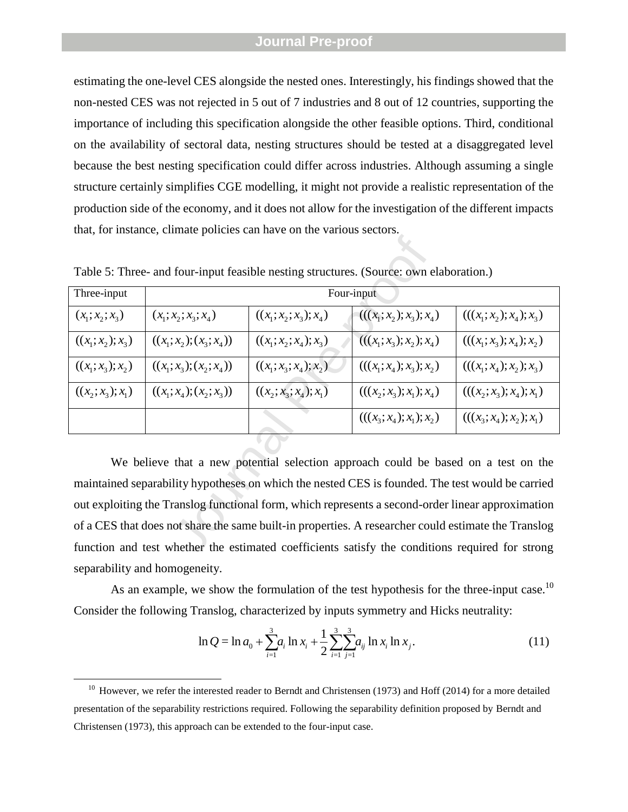estimating the one -level CES alongside the nested ones. Interestingly, his findings showed that the non -nested CES was not rejected in 5 out of 7 industries and 8 out of 12 countries, supporting the importance of including this specification alongside the other feasible options. Third, conditional on the availability of sectoral data, nesting structures should be tested at a disaggregated level because the best nesting specification could differ across industries. Although assuming a single structure certainly simplifies CGE modelling, it might not provide a realistic representation of the production side of the economy, and it does not allow for the investigation of the different impacts that, for instance, climate policies can have on the various sectors.

|                                                                                                     | Table 5: Three- and four-input feasible nesting structures. (Source: own elaboration.) |                          |                            |                            |  |  |
|-----------------------------------------------------------------------------------------------------|----------------------------------------------------------------------------------------|--------------------------|----------------------------|----------------------------|--|--|
| Three-input                                                                                         | Four-input                                                                             |                          |                            |                            |  |  |
| $(x_1; x_2; x_3)$                                                                                   | $(x_1; x_2; x_3; x_4)$                                                                 | $((x_1; x_2; x_3); x_4)$ | $(((x_1; x_2); x_3); x_4)$ | $(((x_1; x_2); x_4); x_3)$ |  |  |
| $((x_1; x_2); x_3)$                                                                                 | $((x_1; x_2); (x_3; x_4))$                                                             | $((x_1; x_2; x_4); x_3)$ | $(((x_1; x_2); x_2); x_4)$ | $(((x_1; x_3); x_4); x_5)$ |  |  |
| $((x_1; x_3); x_2)$                                                                                 | $((x_1; x_3); (x_2; x_4))$                                                             | $((x_1, x_3, x_4), x_2)$ | $(((x_1; x_4); x_3); x_2)$ | $(((x_1; x_4); x_2); x_3)$ |  |  |
| $((x_2; x_3); x_1)$                                                                                 | $((x_1; x_4); (x_2; x_3))$                                                             | $((x_2; x_3; x_4); x_1)$ | $(((x_2; x_3); x_1); x_4)$ | $(((x_2; x_3); x_4); x_1)$ |  |  |
|                                                                                                     |                                                                                        |                          | $(((x_3; x_4); x_1); x_2)$ | $(((x_3; x_4); x_2); x_1)$ |  |  |
|                                                                                                     |                                                                                        |                          |                            |                            |  |  |
| We believe that a new potential selection approach could be based on a test on the                  |                                                                                        |                          |                            |                            |  |  |
| maintained separability hypotheses on which the nested CES is founded. The test would be carried    |                                                                                        |                          |                            |                            |  |  |
| out exploiting the Translog functional form, which represents a second-order linear approximation   |                                                                                        |                          |                            |                            |  |  |
| of a CES that does not share the same built-in properties. A researcher could estimate the Translog |                                                                                        |                          |                            |                            |  |  |
| function and test whether the estimated coefficients satisfy the conditions required for strong     |                                                                                        |                          |                            |                            |  |  |

Table 5: Three - and four -input feasible nesting structures. (Source: own elaboration.)

We believe that a new potential selection approach could be based on a test on the maintained separability hypotheses on which the nested CES is founded. The test would be carried out exploiting the Translog functional form, which represents a second -order linear approximation of a CES that does not share the same built -in properties. A researcher could estimate the Translog function and test whether the estimated coefficients satisfy the conditions required for strong separability and homogeneity.

As an example, we show the formulation of the test hypothesis for the three-input case.<sup>10</sup>

Consider the following Translog, characterized by inputs symmetry and Hicks neutrality:  
\n
$$
\ln Q = \ln a_0 + \sum_{i=1}^{3} a_i \ln x_i + \frac{1}{2} \sum_{i=1}^{3} \sum_{j=1}^{3} a_{ij} \ln x_i \ln x_j.
$$
\n(11)

 $\overline{a}$ 

<sup>&</sup>lt;sup>10</sup> However, we refer the interested reader to Berndt and Christensen (1973) and Hoff (2014) for a more detailed presentation of the separability restrictions required. Following the separability definition proposed by Berndt and Christensen (1973), this approach can be extended to the four -input case.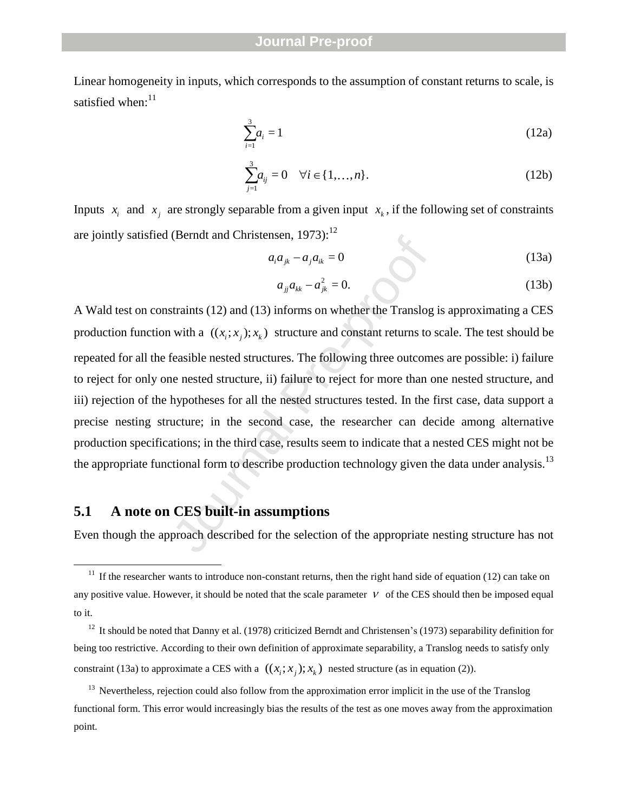Linear homogeneity in inputs, which corresponds to the assumption of constant returns to scale, is satisfied when: $11$ 

$$
\sum_{i=1}^{3} a_i = 1 \tag{12a}
$$

$$
\sum_{j=1}^{3} a_{ij} = 0 \quad \forall i \in \{1, ..., n\}.
$$
 (12b)

Inputs  $x_i$  and  $x_j$  are strongly separable from a given input  $x_k$ , if the following set of constraints are jointly satisfied (Berndt and Christensen, 1973):<sup>12</sup>

$$
a_i a_{jk} - a_j a_{ik} = 0 \tag{13a}
$$

$$
a_{jj}a_{kk} - a_{jk}^2 = 0.
$$
 (13b)

(bernat and Christensen, 1975):<br>  $a_i a_{jk} - a_j a_{ik} = 0$ <br>  $a_{jj} a_{kk} - a_{jk}^2 = 0$ .<br>
straints (12) and (13) informs on whether the Translog<br>
with a  $((x_i; x_j); x_k)$  structure and constant returns to<br>
feasible nested structures. The fo A Wald test on constraints (12) and (13) informs on whether the Translog is approximating a CES production function with a  $((x_i; x_j); x_k)$  structure and constant returns to scale. The test should be repeated for all the feasible nested structures. The following three outcomes are possible: i) failure to reject for only one nested structure, ii) failure to reject for more than one nested structure, and iii) rejection of the hypotheses for all the nested structures tested. In the first case, data support a precise nesting structure; in the second case, the researcher can decide among alternative production specifications; in the third case, results seem to indicate that a nested CES might not be the appropriate functional form to describe production technology given the data under analysis.<sup>13</sup>

#### **5.1 A note on CES built -in assumptions**

 $\overline{a}$ 

Even though the approach described for the selection of the appropriate nesting structure has not

<sup>&</sup>lt;sup>11</sup> If the researcher wants to introduce non-constant returns, then the right hand side of equation (12) can take on any positive value. However, it should be noted that the scale parameter  $V$  of the CES should then be imposed equal to it.

 $12$  It should be noted that Danny et al. (1978) criticized Berndt and Christensen's (1973) separability definition for being too restrictive. According to their own definition of approximate separability, a Translog needs to satisfy only constraint (13a) to approximate a CES with a  $((x_i; x_j); x_k)$  nested structure (as in equation (2)).

<sup>&</sup>lt;sup>13</sup> Nevertheless, rejection could also follow from the approximation error implicit in the use of the Translog functional form. This error would increasingly bias the results of the test as one moves away from the approximation point.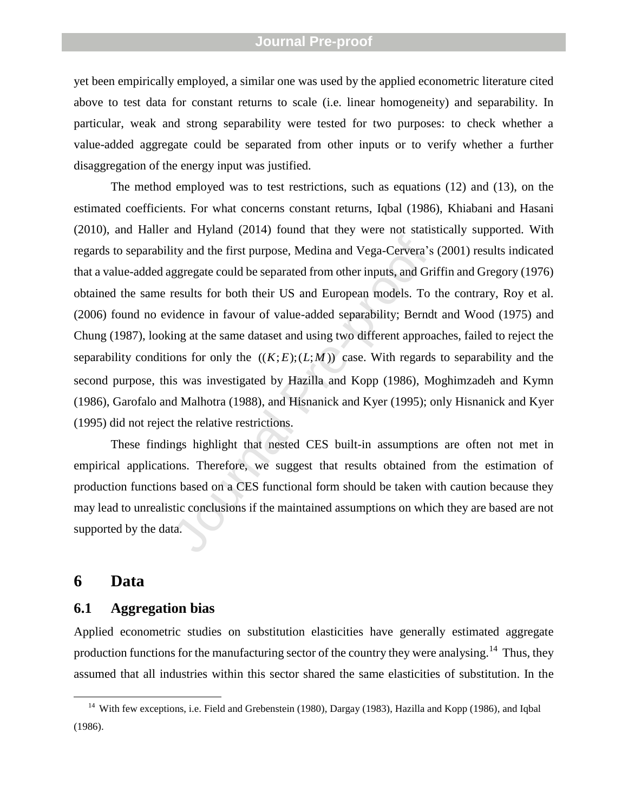yet been empirically employed, a similar one was used by the applied econometric literature cited above to test data for constant returns to scale (i.e. linear homogeneity) and separability. In particular, weak and strong separability were tested for two purposes: to check whether a value -added aggregate could be separated from other inputs or to verify whether a further disaggregation of the energy input was justified.

ity and the first purpose, Medina and Vega-Cervera's<br>ggregate could be separated from other inputs, and Gri<br>results for both their US and European models. To<br>idence in favour of value-added separability; Berndi<br>ing at the The method employed was to test restrictions, such as equations (12) and (13), on the estimated coefficients. For what concerns constant returns, Iqbal (1986), Khiabani and Hasani (2010), and Haller and Hyland (2014) found that they were not statistically supported. With regards to separability and the first purpose, Medina and Vega -Cervera's (2001 ) results indicated that a value -added aggregate could be separated from other inputs, and Griffin and Gregory (1976) obtained the same results for both their US and European models. To the contrary, Roy et al. (2006) found no evidence in favour of value -added separability; Berndt and Wood (1975) and Chung (1987), looking at the same dataset and using two different approaches, failed to reject the separability conditions for only the  $((K;E);(L;M))$  case. With regards to separability and the second purpose, this was investigated by Hazilla and Kopp (1986), Moghimzadeh and Kymn (1986), Garofalo and Malhotra (1988), and Hisnanick and Kyer (1995); only Hisnanick and Kyer (1995) did not reject the relative restrictions.

These findings highlight that nested CES built -in assumptions are often not met in empirical applications. Therefore, we suggest that results obtained from the estimation of production functions based on a CES functional form should be taken with caution because they may lead to unrealistic conclusions if the maintained assumptions on which they are based are not supported by the data.

#### **6 Data**

 $\overline{a}$ 

#### **6.1 Aggregation bias**

Applied econometric studies on substitution elasticities have generally estimated aggregate production functions for the manufacturing sector of the country they were analysing.<sup>14</sup> Thus, they assumed that all industries within this sector shared the same elasticities of substitution. In the

<sup>&</sup>lt;sup>14</sup> With few exceptions, i.e. Field and Grebenstein (1980), Dargay (1983), Hazilla and Kopp (1986), and Iqbal (1986) .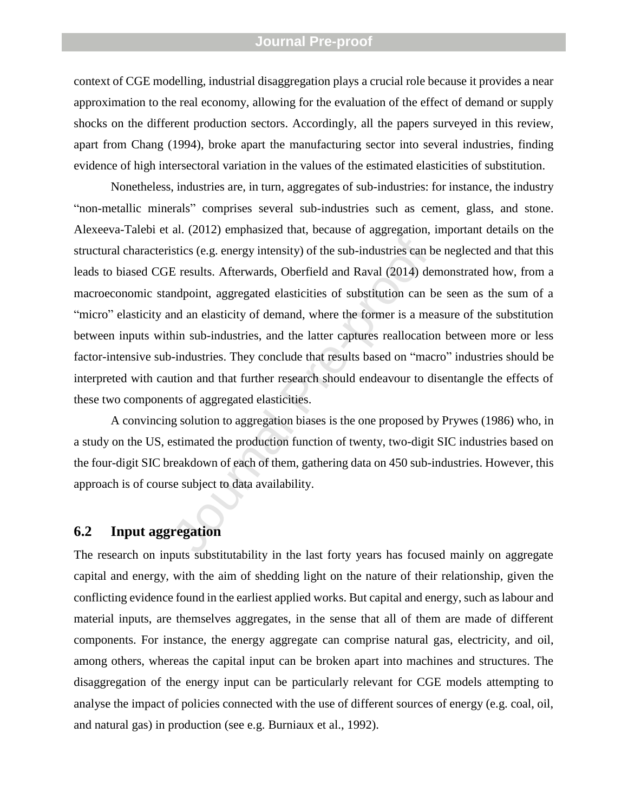context of CGE modelling, industrial disaggregation plays a crucial role because it provides a near approximation to the real economy, allowing for the evaluation of the effect of demand or supply shocks on the different production sectors. Accordingly, all the papers surveyed in this review, apart from Chang (1994), broke apart the manufacturing sector into several industries, finding evidence of high intersectoral variation in the values of the estimated elasticities of substitution.

istics (e.g. energy intensity) of the sub-industries can b<br>E results. Afterwards, Oberfield and Raval (2014) de<br>ndpoint, aggregated elasticities of substitution can b<br>nd an elasticity of demand, where the former is a mea<br>h Nonetheless, industries are, in turn, aggregates of sub -industries: for instance, the industry "non -metallic minerals " comprises several sub -industries such as cement, glass, and stone. Alexeeva -Talebi et al. (2012) emphasized that, because of aggregation, important details on the structural characteristics (e.g. energy intensity) of the sub -industries can be neglected and that this leads to biased CGE results. Afterwards, Oberfield and Raval (2014) demonstrated how, from a macroeconomic standpoint, aggregated elasticities of substitution can be seen as the sum of a "micro" elasticity and an elasticity of demand, where the former is a measure of the substitution between inputs within sub -industries, and the latter captures reallocation between more or less factor-intensive sub-industries. They conclude that results based on "macro" industries should be interpreted with caution and that further research should endeavour to disentangle the effects of these two components of aggregated elasticities.

A convincing solution to aggregation biases is the one proposed by Prywes (1986) who, in a study on the US, estimated the production function of twenty, two -digit SIC industries based on the four -digit SIC breakdown of each of them, gathering data on 450 sub -industries. However, this approach is of course subject to data availability.

### **6.2 Input aggregation**

The research on inputs substitutability in the last forty years has focused mainly on aggregate capital and energy, with the aim of shedding light on the nature of their relationship, given the conflicting evidence found in the earliest applied works. But capital and energy, such as labour and material inputs, are themselves aggregates, in the sense that all of them are made of different components. For instance, the energy aggregate can comprise natural gas, electricity, and oil, among others, whereas the capital input can be broken apart into machines and structures. The disaggregation of the energy input can be particularly relevant for CGE models attempting to analyse the impact of policies connected with the use of different sources of energy (e.g. coal, oil, and natural gas) in production (see e.g. Burniaux et al., 1992) .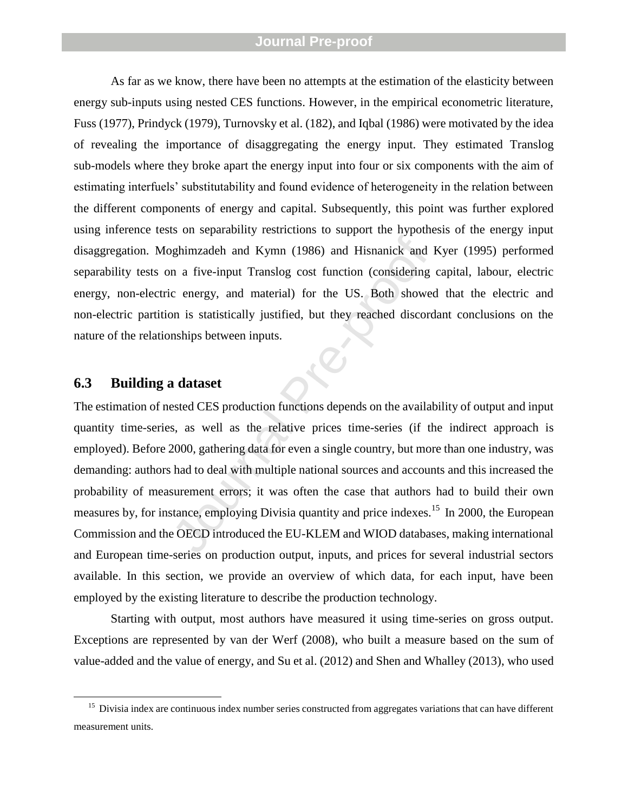As far as we know, there have been no attempts at the estimation of the elasticity between energy sub-inputs using nested CES functions. However, in the empirical econometric literature, Fuss (1977), Prindyck (1979), Turnovsky et al. (182), and Iqbal (1986) were motivated by the idea of revealing the importance of disaggregating the energy input. They estimated Translog sub -models where they broke apart the energy input into four or six components with the aim of estimating interfuels' substitutability and found evidence of heterogeneity in the relation between the different components of energy and capital. Subsequently, this point was further explored using inference tests on separability restrictions to support the hypothesis of the energy input disaggregation. Moghimzadeh and Kymn (1986) and Hisnanick and Kyer (1995) performed separability tests on a five-input Translog cost function (considering capital, labour, electric energy, non -electric energy, and material) for the US. Both showed that the electric and non -electric partition is statistically justified, but they reached discordant conclusions on the nature of the relationships between inputs.

#### **6.3 Building a dataset**

 $\overline{a}$ 

Manuson and Kymn (1986) and Hisnanick and I<br>
in a five-input Translog cost function (considering<br>
c energy, and material) for the US. Both showed<br>
in is statistically justified, but they reached discord<br>
nships between inp The estimation of nested CES production functions depends on the availability of output and input quantity time -series, as well as the relative prices time -series (if the indirect approach is employed). Before 2000, gathering data for even a single country, but more than one industry, was demanding: authors had to deal with multiple national sources and accounts and this increased the probability of measurement errors; it was often the case that authors had to build their own measures by, for instance, employing Divisia quantity and price indexes.<sup>15</sup> In 2000, the European Commission and the OECD introduced the EU -KLEM and WIOD databases, making international and European time -series on production output, inputs, and prices for several industrial sectors available. In this section, we provide an overview of which data, for each input, have been employed by the existing literature to describe the production technology.

Starting with output, most authors have measured it using time -series on gross output. Exceptions are represented by van der Werf (2008), who built a measure based on the sum of value -added and the value of energy, and Su et al. (2012) and Shen and Whalley (2013), who used

 $15$  Divisia index are continuous index number series constructed from aggregates variations that can have different measurement units.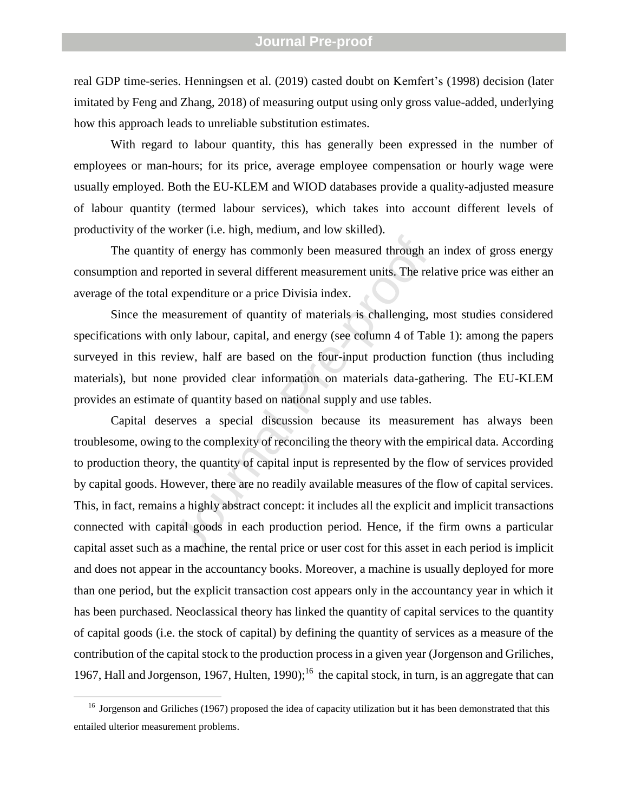real GDP time-series. Henningsen et al. (2019) casted doubt on Kemfert's (1998) decision (later imitated by Feng and Zhang, 2018) of measuring output using only gross value-added, underlying how this approach leads to unreliable substitution estimates.

With regard to labour quantity, this has generally been expressed in the number of employees or man -hours; for its price, average employee compensation or hourly wage were usually employed. Both the EU -KLEM and WIOD databases provide a quality -adjusted measure of labour quantity (termed labour services), which takes into account different levels of productivity of the worker (i.e. high, medium, and low skilled).

The quantity of energy has commonly been measured through an index of gross energy consumption and reported in several different measurement units. The relative price was either an average of the total expenditure or a price Divisia index.

Since the measurement of quantity of materials is challenging, most studies considered specifications with only labour, capital, and energy (see column 4 of Table 1): among the papers surveyed in this review, half are based on the four -input production function (thus including materials), but none provided clear information on materials data -gathering. The EU -KLEM provides an estimate of quantity based on national supply and use tables.

by of energy has commonly been measured through an ported in several different measurement units. The relation<br>expenditure or a price Divisia index.<br>easurement of quantity of materials is challenging, a only labour, capita Capital deserves a special discussion because its measurement has always been troublesome, owing to the complexity of reconciling the theory with the empirical data. According to production theory, the quantity of capital input is represented by the flow of services provided by capital goods. However, there are no readily available measures of the flow of capital services. This, in fact, remains a highly abstract concept: it includes all the explicit and implicit transactions connected with capital goods in each production period. Hence, if the firm owns a particular capital asset such as a machine, the rental price or user cost for this asset in each period is implicit and does not appear in the accountancy books. Moreover, a machine is usually deployed for more than one period, but the explicit transaction cost appears only in the accountancy year in which it has been purchased. Neoclassical theory has linked the quantity of capital services to the quantity of capital goods (i.e. the stock of capital) by defining the quantity of services as a measure of the contribution of the capital stock to the production process in a given year (Jorgenson and Griliches, 1967, Hall and Jorgenson, 1967, Hulten, 1990);<sup>16</sup> the capital stock, in turn, is an aggregate that can

 $\overline{a}$ 

<sup>&</sup>lt;sup>16</sup> Jorgenson and Griliches (1967) proposed the idea of capacity utilization but it has been demonstrated that this entailed ulterior measurement problems .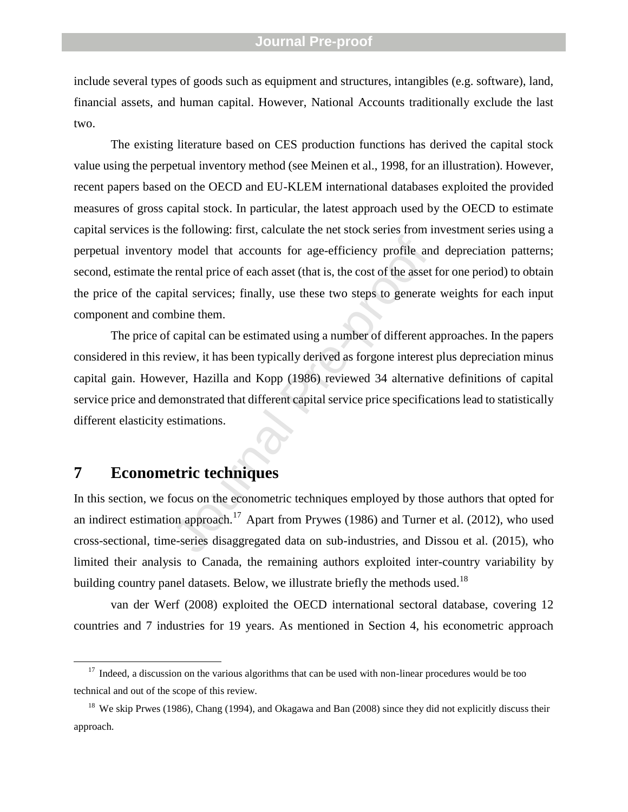include several types of goods such as equipment and structures, intangibles (e.g. software), land, financial assets, and human capital. However, National Accounts traditionally exclude the last two .

The existing literature based on CES production functions has derived the capital stock value using the perpetual inventory method (see Meinen et al., 1998, for an illustration ). However, recent papers based on the OECD and EU -KLEM international databases exploited the provided measures of gross capital stock. In particular, the latest approach used by the OECD to estimate capital services is the following: first, calculate the net stock series from investment series using a perpetual inventory model that accounts for age -efficiency profile and depreciation patterns; second, estimate the rental price of each asset (that is, the cost of the asset for one period) to obtain the price of the capital services; finally, use these two steps to generate weights for each input component and combine them.

model that accounts for age-efficiency profile and rental price of each asset (that is, the cost of the asset wital services; finally, use these two steps to generate whine them.<br>Capital can be estimated using a number of The price of capital can be estimated using a number of different approaches. In the papers considered in this review, it has been typically derived as forgone interest plus depreciation minus capital gain. However, Hazilla and Kopp (1986) reviewed 34 alternative definitions of capital service price and demonstrated that different capital service price specifications lead to statistically different elasticity estimations.

# **7 Econometric techniques**

 $\overline{a}$ 

In this section, we focus on the econometric techniques employed by those authors that opted for an indirect estimation approach.<sup>17</sup> Apart from Prywes (1986) and Turner et al. (2012), who used cross -sectional, time -series disaggregated data on sub -industries, and Dissou et al. (2015), who limited their analysis to Canada, the remaining authors exploited inter -country variability by building country panel datasets. Below, we illustrate briefly the methods used.<sup>18</sup>

van der Werf (2008) exploited the OECD international sectoral database, covering 12 countries and 7 industries for 19 years. As mentioned in Section 4, his econometric approach

 $17$  Indeed, a discussion on the various algorithms that can be used with non-linear procedures would be too technical and out of the scope of this review.

<sup>&</sup>lt;sup>18</sup> We skip Prwes (1986), Chang (1994), and Okagawa and Ban (2008) since they did not explicitly discuss their approach.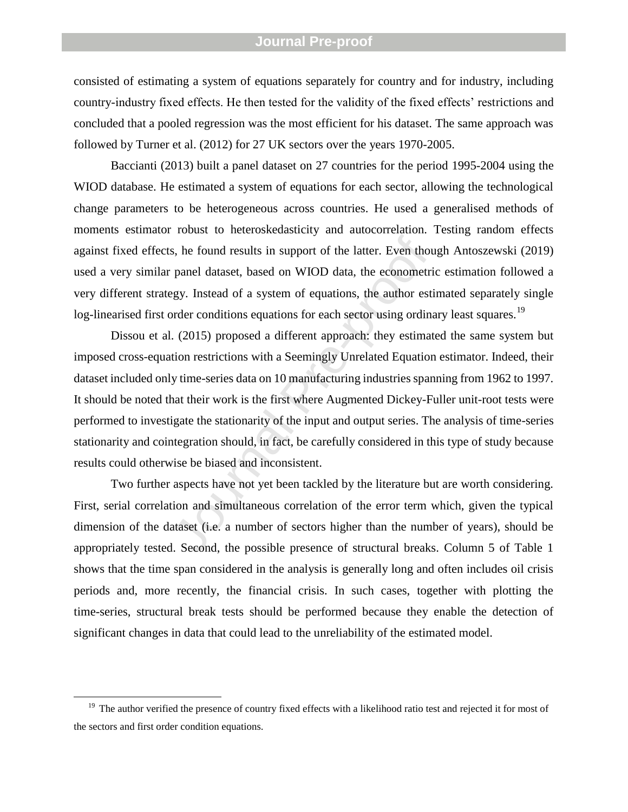consisted of estimating a system of equations separately for country and for industry, including country -industry fixed effects. He then tested for the validity of the fixed effects' restrictions and concluded that a pooled regression was the most efficient for his dataset. The same approach was followed by Turner et al. (2012) for 27 UK sectors over the years 1970-2005.

Baccianti (2013) built a panel dataset on 27 countries for the period 1995-2004 using the WIOD database. He estimated a system of equations for each sector, allowing the technological change parameters to be heterogeneous across countries. He used a generalised methods of moments estimator robust to heteroskedasticity and autocorrelation. Testing random effects against fixed effects, he found results in support of the latter. Even though Antoszewski (2019) used a very similar panel dataset, based on WIOD data, the econometric estimation followed a very different strategy. Instead of a system of equations, the author estimated separately single log-linearised first order conditions equations for each sector using ordinary least squares.<sup>19</sup>

s, he found results in support of the latter. Even thou<br>panel dataset, based on WIOD data, the econometri<br>egy. Instead of a system of equations, the author esti<br>order conditions equations for each sector using ordina<br>. (20 Dissou et al. (2015) proposed a different approach: they estimated the same system but imposed cross -equation restrictions with a Seemingly Unrelated Equation estimator. Indeed, their dataset included only time -series data on 10 manufacturing industries spanning from 1962 to 1997. It should be noted that their work is the first where Augmented Dickey-Fuller unit-root tests were performed to investigate the stationarity of the input and output series. The analysis of time -series stationarity and cointegration should, in fact, be carefully considered in this type of study because results could otherwise be biased and inconsistent.

Two further aspects have not yet been tackled by the literature but are worth considering. First, serial correlation and simultaneous correlation of the error term which, given the typical dimension of the dataset (i.e. a number of sectors higher than the number of years), should be appropriately tested. Second, the possible presence of structural breaks. Column 5 of Table 1 shows that the time span considered in the analysis is generally long and often includes oil crisis periods and, more recently, the financial crisis. In such cases, together with plotting the time -series, structural break tests should be performed because they enable the detection of significant changes in data that could lead to the unreliability of the estimated model.

 $\overline{a}$ 

 $19$  The author verified the presence of country fixed effects with a likelihood ratio test and rejected it for most of the sectors and first order condition equations.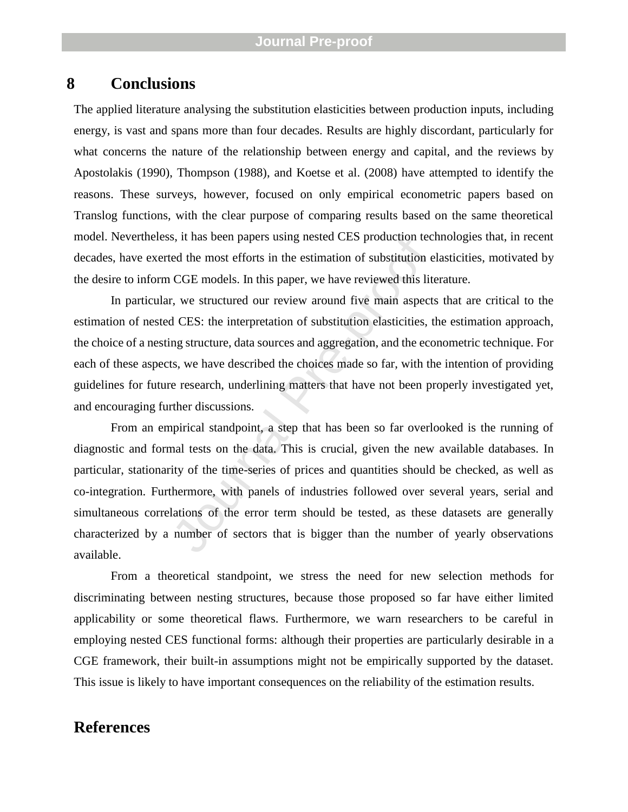# **8 Conclusions**

The applied literature analysing the substitution elasticities between production inputs, including energy, is vast and spans more than four decades. Results are highly discordant, particularly for what concerns the nature of the relationship between energy and capital, and the reviews by Apostolakis (1990), Thompson (1988), and Koetse et al. (2008) have attempted to identify the reasons. These surveys, however, focused on only empirical econometric papers based on Translog functions, with the clear purpose of comparing results based on the same theoretical model. Nevertheless, it has been papers using nested CES production technologies that, in recent decades, have exerted the most efforts in the estimation of substitution elasticities, motivated by the desire to inform CGE models. In this paper, we have reviewed this literature.

In particular, we structured our review around five main aspects that are critical to the estimation of nested CES: the interpretation of substitution elasticities, the estimation approach, the choice of a nesting structure, data sources and aggregation, and the econometric technique. For each of these aspects, we have described the choices made so far, with the intention of providing guidelines for future research, underlining matters that have not been properly investigated yet, and encouraging further discussions.

s, it has been papers using nested CES production tec<br>ed the most efforts in the estimation of substitution e<br>CGE models. In this paper, we have reviewed this lite<br>r, we structured our review around five main aspect:<br>d CES From an empirical standpoint, a step that has been so far overlooked is the running of diagnostic and formal tests on the data. This is crucial, given the new available databases. In particular, stationarity of the time -series of prices and quantities should be checked, as well as co -integration. Furthermore, with panels of industries followed over several years, serial and simultaneous correlations of the error term should be tested, as these datasets are generally characterized by a number of sectors that is bigger than the number of yearly observations available.

From a theoretical standpoint, we stress the need for new selection methods for discriminating between nesting structures, because those proposed so far have either limited applicability or some theoretical flaws. Furthermore, we warn researchers to be careful in employing nested CES functional forms: although their properties are particularly desirable in a CGE framework, their built -in assumptions might not be empirically supported by the dataset. This issue is likely to have important consequences on the reliability of the estimation results.

## **References**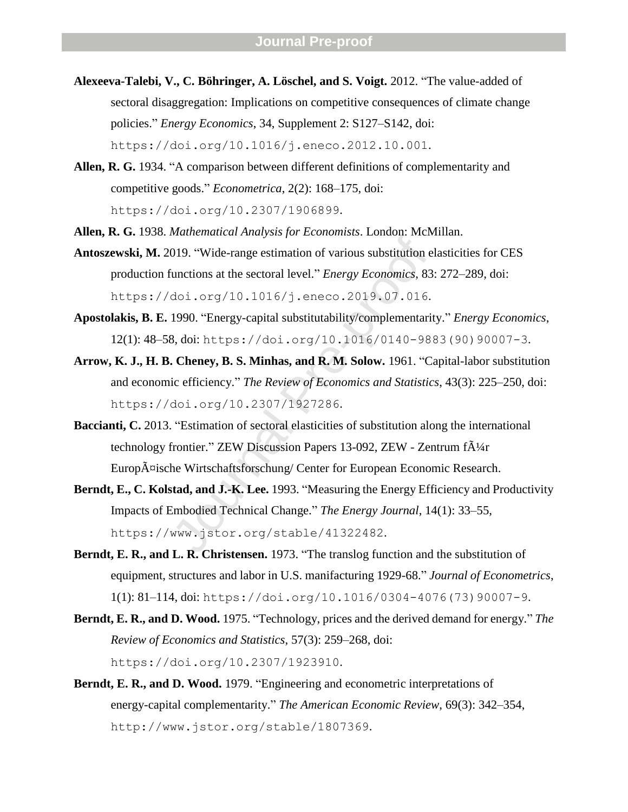- **Alexeeva -Talebi, V., C. Böhringer, A. Löschel, and S. Voigt.** 2012. "The value -added of sectoral disaggregation: Implications on competitive consequences of climate change policies. " *Energy Economics*, 34, Supplement 2: S127 –S142, doi: https://doi.org/10.1016/j.eneco.2012.10.001 .
- Allen, R. G. 1934. "A comparison between different definitions of complementarity and competitive goods. " *Econometrica*, 2(2): 168 –175, doi: https://doi.org/10.2307/1906899 .
- **Allen, R. G.** 1938. *Mathematical Analysis for Economists*. London: McMillan.
- Antoszewski, M. 2019. "Wide-range estimation of various substitution elasticities for CES production functions at the sectoral level. " *Energy Economics*, 83: 272 –289, doi: https://doi.org/10.1016/j.eneco.2019.07.016 .
- **Apostolakis, B. E.** 1990. "Energy -capital substitutability/complementarity. " *Energy Economics*, 12(1): 48-58, doi: https://doi.org/10.1016/0140-9883(90)90007-3.
- Malmentaria Principals yet Economials: Economials: Acta.<br>
1019. "Wide-range estimation of various substitution el<br>
unctions at the sectoral level." *Energy Economics*, 83:<br>
doi.  $\log(10.1016/\text{j}.encco.2019.07.016$ .<br>
1990. "Ene Arrow, K. J., H. B. Cheney, B. S. Minhas, and R. M. Solow. 1961. "Capital-labor substitution and economic efficiency. " *The Review of Economics and Statistics*, 43(3): 225 –250, doi: https://doi.org/10.2307/1927286 .
- Baccianti, C. 2013. "Estimation of sectoral elasticities of substitution along the international technology frontier." ZEW Discussion Papers 13-092, ZEW - Zentrum f $\tilde{A}^{1/4}$ r Europ $\tilde{A}$ ¤ische Wirtschaftsforschung/ Center for European Economic Research.
- **Berndt, E., C. Kolstad, and J. -K. Lee.** 1993. "Measuring the Energy Efficiency and Productivity Impacts of Embodied Technical Change. " *The Energy Journal*, 14(1): 33 –55, https://www.jstor.org/stable/41322482 .
- Berndt, E. R., and L. R. Christensen. 1973. "The translog function and the substitution of equipment, structures and labor in U.S. manifacturing 1929 -68. " *Journal of Econometrics*, 1(1): 81-114, doi: https://doi.org/10.1016/0304-4076(73)90007-9.
- Berndt, E. R., and D. Wood. 1975. "Technology, prices and the derived demand for energy." The *Review of Economics and Statistics*, 57(3): 259 –268, doi: https://doi.org/10.2307/1923910 .
- **Berndt, E. R., and D. Wood.** 1979. "Engineering and econometric interpretations of energy -capital complementarity. " *The American Economic Review*, 69(3): 342 –354, http://www.jstor.org/stable/1807369 .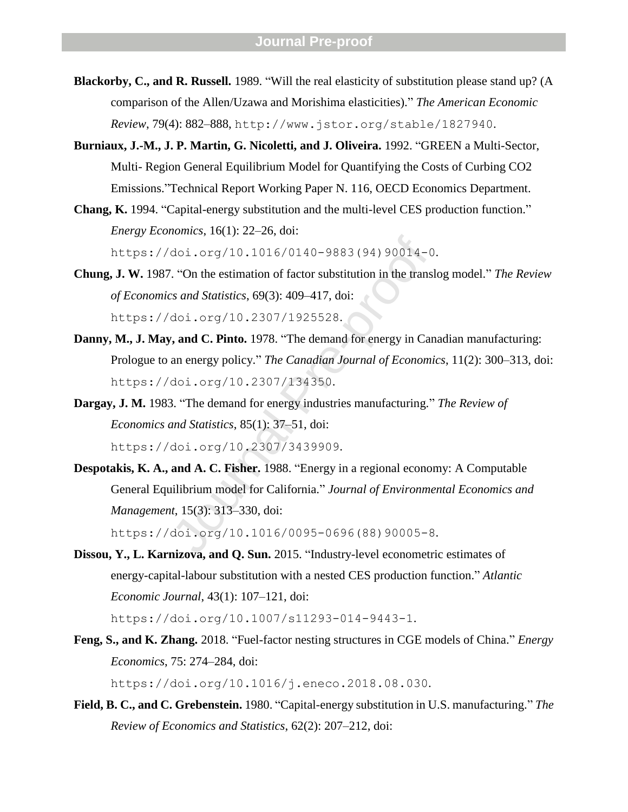- **Blackorby, C., and R. Russell.** 1989. "Will the real elasticity of substitution please stand up? (A comparison of the Allen/Uzawa and Morishima elasticities). " *The American Economic Review*, 79(4): 882 –888, http://www.jstor.org/stable/1827940 .
- Burniaux, J.-M., J. P. Martin, G. Nicoletti, and J. Oliveira. 1992. "GREEN a Multi-Sector, Multi - Region General Equilibrium Model for Quantifying the Costs of Curbing CO2 Emissions. "Technical Report Working Paper N. 116, OECD Economics Department.
- Chang, K. 1994. "Capital-energy substitution and the multi-level CES production function." *Energy Economics*, 16(1): 22 –26, doi: https://doi.org/10.1016/0140-9883(94)90014-0.
- **Chung, J. W.** 1987. "On the estimation of factor substitution in the translog model. " *The Review of Economics and Statistics*, 69(3): 409 –417, doi: https://doi.org/10.2307/1925528 .
- **Danny, M., J. May, and C. Pinto.** 1978. "The demand for energy in Canadian manufacturing: Prologue to an energy policy. " *The Canadian Journal of Economics*, 11(2): 300 –313, doi: https://doi.org/10.2307/134350 .
- Dargay, J. M. 1983. "The demand for energy industries manufacturing." The Review of *Economics and Statistics*, 85(1): 37 –51, doi: https://doi.org/10.2307/3439909 .
- 1.1016/0140-9883 (94) 90014-0<br>
Coi.org/10.1016/0140-9883 (94) 90014-0<br>
Con the estimation of factor substitution in the transl<br>
1.37 and Statistics, 69(3): 409-417, doi:<br>
1.1016.1978. "The demand for energy in Can<br>
2.101. **Despotakis, K. A., and A. C. Fisher.** 1988. "Energy in a regional economy: A Computable General Equilibrium model for California. " *Journal of Environmental Economics and Management*, 15(3): 313 –330, doi:

https://doi.org/10.1016/0095-0696(88)90005-8.

Dissou, Y., L. Karnizova, and Q. Sun. 2015. "Industry-level econometric estimates of energy -capital -labour substitution with a nested CES production function. " *Atlantic Economic Journal*, 43(1): 107 –121, doi:

https://doi.org/10.1007/s11293-014-9443-1.

- Feng, S., and K. Zhang. 2018. "Fuel-factor nesting structures in CGE models of China." *Energy Economics*, 75: 274 –284, doi: https://doi.org/10.1016/j.eneco.2018.08.030 .
- Field, B. C., and C. Grebenstein. 1980. "Capital-energy substitution in U.S. manufacturing." The *Review of Economics and Statistics*, 62(2): 207 –212, doi: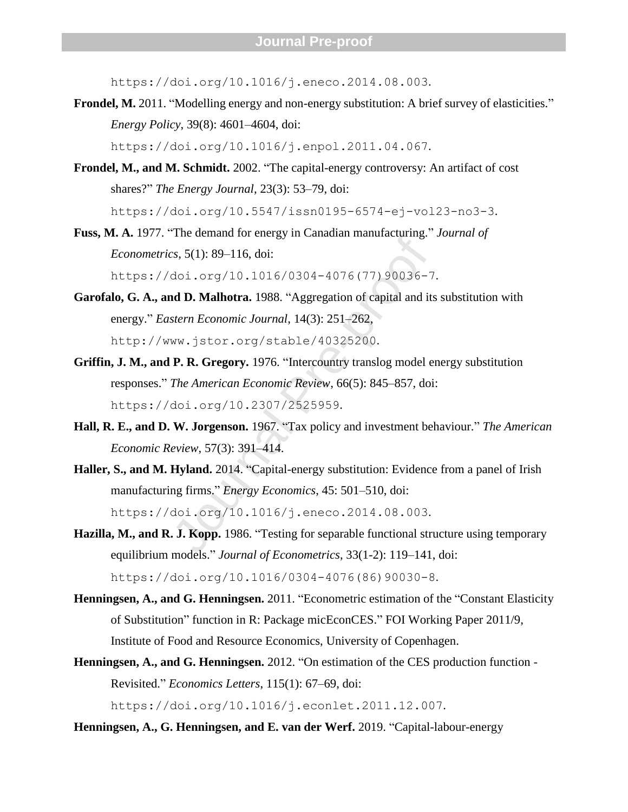https://doi.org/10.1016/j.eneco.2014.08.003 .

Frondel, M. 2011. "Modelling energy and non-energy substitution: A brief survey of elasticities." *Energy Policy*, 39(8): 4601 –4604, doi:

https://doi.org/10.1016/j.enpol.2011.04.067 .

- Frondel, M., and M. Schmidt. 2002. "The capital-energy controversy: An artifact of cost shares? " *The Energy Journal*, 23(3): 53 –79, doi: https://doi.org/10.5547/issn0195-6574-ej-vol23-no3-3.
- **Fuss, M. A.** 1977. "The demand for energy in Canadian manufacturing. " *Journal of Econometrics*, 5(1): 89 –116, doi:

https://doi.org/10.1016/0304-4076(77)90036-7.

- The demand for energy in Canadian manufactums.<br>
Sr, 5(1): 89–116, doi:<br>
doi.org/10.1016/0304-4076 (77) 90036-7<br> **dd D. Malhotra.** 1988. "Aggregation of capital and its<br>
stern Economic Journal, 14(3): 251–262,<br>
ww. jstor.o **Garofalo, G. A., and D. Malhotra.** 1988. "Aggregation of capital and its substitution with energy. " *Eastern Economic Journal*, 14(3): 251 –262, http://www.jstor.org/stable/40325200 .
- **Griffin, J. M., and P. R. Gregory.** 1976. "Intercountry translog model energy substitution responses. " *The American Economic Review*, 66(5): 845 –857, doi: https://doi.org/10.2307/2525959 .
- Hall, R. E., and D. W. Jorgenson. 1967. "Tax policy and investment behaviour." The American *Economic Review*, 57(3): 391 –414.
- Haller, S., and M. Hyland. 2014. "Capital-energy substitution: Evidence from a panel of Irish manufacturing firms. " *Energy Economics*, 45: 501 –510, doi: https://doi.org/10.1016/j.eneco.2014.08.003 .
- Hazilla, M., and R. J. Kopp. 1986. "Testing for separable functional structure using temporary equilibrium models." *Journal of Econometrics*, 33(1-2): 119–141, doi: https://doi.org/10.1016/0304-4076(86)90030-8.
- **Henningsen, A., and G. Henningsen.** 2011. "Econometric estimation of the "Constant Elasticity of Substitution " function in R: Package micEconCES. " FOI Working Paper 2011/9, Institute of Food and Resource Economics, University of Copenhagen.
- Henningsen, A., and G. Henningsen. 2012. "On estimation of the CES production function -Revisited. " *Economics Letters*, 115(1): 67 –69, doi:

https://doi.org/10.1016/j.econlet.2011.12.007 .

Henningsen, A., G. Henningsen, and E. van der Werf. 2019. "Capital-labour-energy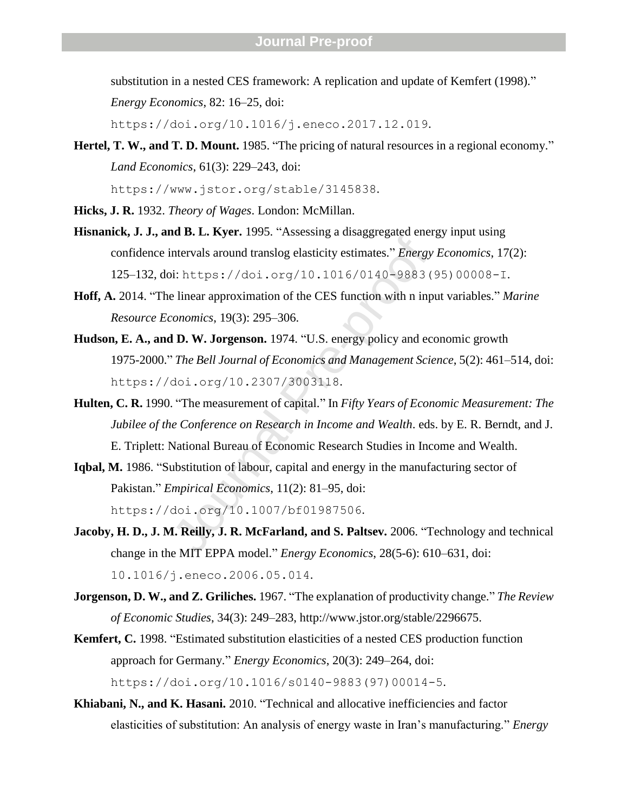substitution in a nested CES framework: A replication and update of Kemfert (1998). "

*Energy Economics*, 82: 16 –25, doi:

https://doi.org/10.1016/j.eneco.2017.12.019 .

Hertel, T. W., and T. D. Mount. 1985. "The pricing of natural resources in a regional economy." *Land Economics*, 61(3): 229 –243, doi:

https://www.jstor.org/stable/3145838 .

- **Hicks, J. R.** 1932. *Theory of Wages*. London: McMillan.
- **Hisnanick, J. J., and B. L. Kyer.** 1995. "Assessing a disaggregated energy input using confidence intervals around translog elasticity estimates. " *Energy Economics*, 17(2): 125-132, doi: https://doi.org/10.1016/0140-9883(95)00008-I.
- **Hoff, A.** 2014. "The linear approximation of the CES function with n input variables. " *Marine Resource Economics*, 19(3): 295 –306.
- at 31 Et Elyett 1995. This<br>elementary a distinguisation.<br>Intervals around translog elasticity estimates." *Energy*<br>i: https://doi.org/10.1016/0140-9883 (<br>e linear approximation of the CES function with n inp<br>conomics, 19( **Hudson, E. A., and D. W. Jorgenson.** 1974. "U.S. energy policy and economic growth 1975 -2000. " *The Bell Journal of Economics and Management Science*, 5(2): 461 –514, doi: https://doi.org/10.2307/3003118 .
- **Hulten, C. R.** 1990. "The measurement of capital. " In *Fifty Years of Economic Measurement: The Jubilee of the Conference on Research in Income and Wealth*. eds. by E. R. Berndt, and J. E. Triplett: National Bureau of Economic Research Studies in Income and Wealth.
- Iqbal, M. 1986. "Substitution of labour, capital and energy in the manufacturing sector of Pakistan. " *Empirical Economics*, 11(2): 81 –95, doi: https://doi.org/10.1007/bf01987506 .
- **Jacoby, H. D., J. M. Reilly, J. R. McFarland, and S. Paltsev.** 2006. "Technology and technical change in the MIT EPPA model." *Energy Economics*, 28(5-6): 610–631, doi: 10.1016/j.eneco.2006.05.014 .
- **Jorgenson, D. W., and Z. Griliches.** 1967. "The explanation of productivity change." The Review *of Economic Studies*, 34(3): 249 –283, http://www.jstor.org/stable/2296675.
- **Kemfert, C.** 1998. "Estimated substitution elasticities of a nested CES production function approach for Germany. " *Energy Economics*, 20(3): 249 –264, doi: https://doi.org/10.1016/s0140-9883(97)00014-5.
- Khiabani, N., and K. Hasani. 2010. "Technical and allocative inefficiencies and factor elasticities of substitution: An analysis of energy waste in Iran's manufacturing. " *Energy*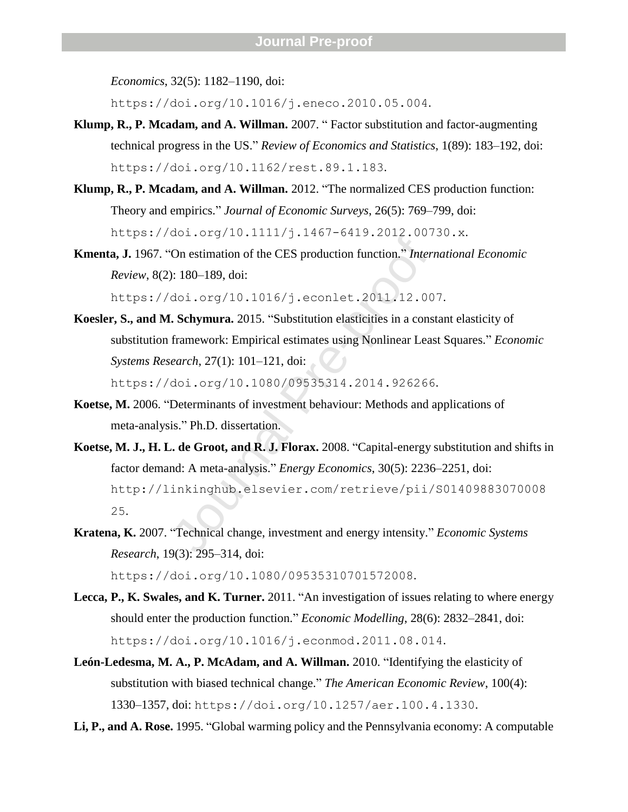*Economics*, 32(5): 1182-1190, doi:

https://doi.org/10.1016/j.eneco.2010.05.004 .

- Klump, R., P. Mcadam, and A. Willman. 2007. "Factor substitution and factor-augmenting technical progress in the US. " *Review of Economics and Statistics*, 1(89): 183 –192, doi: https://doi.org/10.1162/rest.89.1.183 .
- **Klump, R., P. Mcadam, and A. Willman.** 2012. "The normalized CES production function: Theory and empirics. " *Journal of Economic Surveys*, 26(5): 769 –799, doi: https://doi.org/10.1111/j.1467 -6419.2012.00730.x .
- **Kmenta, J.** 1967. "On estimation of the CES production function. " *International Economic Review*, 8(2): 180 –189, doi:

https://doi.org/10.1016/j.econlet.2011.12.007 .

Koesler, S., and M. Schymura. 2015. "Substitution elasticities in a constant elasticity of substitution framework: Empirical estimates using Nonlinear Least Squares. " *Economic Systems Research*, 27(1): 101 –121, doi: https://doi.org/10.1080/09535314.2014.926266 .

**Koetse, M.** 2006. "Determinants of investment behaviour: Methods and applications of meta -analysis. " Ph.D. dissertation.

- 2011019 10111117 J.1107 0113120121007<br>
On estimation of the CES production function." Intern<br>
1: 180–189, doi:<br>
doi.org/10.1016/j.econlet.2011.12.00<br> **Schymura.** 2015. "Substitution elasticities in a cons<br>
framework: Empir **Koetse, M. J., H. L. de Groot, and R. J. Florax.** 2008. "Capital -energy substitution and shifts in factor demand: A meta-analysis." *Energy Economics*, 30(5): 2236–2251, doi: http://linkinghub.elsevier.com/retrieve/pii/S01409883070008 25 .
- **Kratena, K.** 2007. "Technical change, investment and energy intensity. " *Economic Systems Research*, 19(3): 295 –314, doi: https://doi.org/10.1080/09535310701572008 .
- Lecca, P., K. Swales, and K. Turner. 2011. "An investigation of issues relating to where energy should enter the production function. " *Economic Modelling*, 28(6): 2832 –2841, doi: https://doi.org/10.1016/j.econmod.2011.08.014 .
- **León -Ledesma, M. A., P. McAdam, and A. Willman.** 2010. "Identifying the elasticity of substitution with biased technical change. " *The American Economic Review*, 100(4): 1330 –1357, doi: https://doi.org/10.1257/aer.100.4.1330 .
- **Li, P., and A. Rose.** 1995. "Global warming policy and the Pennsylvania economy: A computable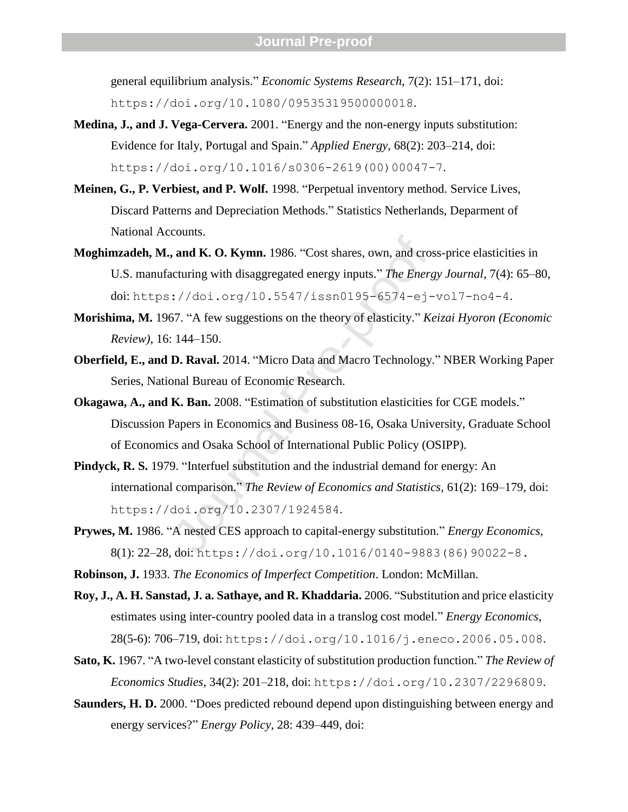general equilibrium analysis. " *Economic Systems Research*, 7(2): 151 –171, doi: https://doi.org/10.1080/09535319500000018.

- Medina, **J., and J. Vega-Cervera.** 2001. "Energy and the non-energy inputs substitution: Evidence for Italy, Portugal and Spain. " *Applied Energy*, 68(2): 203 –214, doi: https://doi.org/10.1016/s0306-2619(00)00047-7.
- **Meinen, G., P. Verbiest, and P. Wolf.** 1998. "Perpetual inventory method. Service Lives, Discard Patterns and Depreciation Methods. " Statistics Netherlands, Deparment of National Accounts.
- **and K. O. Kymn.** 1986. "Cost shares, own, and cross cuturing with disaggregated energy inputs." The Energ :  $//doi.org/10.5547/icssn0195-6574-ej-67.$  "A few suggestions on the theory of elasticity." Ke : 144–150.<br> **D. Raval.** 201 Moghimzadeh, M., and K. O. Kymn. 1986. "Cost shares, own, and cross-price elasticities in U.S. manufacturing with disaggregated energy inputs. " *The Energy Journal*, 7(4): 65 –80, doi: https://doi.org/10.5547/issn0195-6574-ej-vol7-no4-4.
- **Morishima, M.** 1967. "A few suggestions on the theory of elasticity. " *Keizai Hyoron (Economic Review)*, 16: 144 –150.
- **Oberfield, E., and D. Raval.** 2014. "Micro Data and Macro Technology. " NBER Working Paper Series, National Bureau of Economic Research.
- Okagawa, A., and K. Ban. 2008. "Estimation of substitution elasticities for CGE models." Discussion Papers in Economics and Business 08 -16, Osaka University, Graduate School of Economics and Osaka School of International Public Policy (OSIPP).
- Pindyck, R. S. 1979. "Interfuel substitution and the industrial demand for energy: An international comparison. " *The Review of Economics and Statistics*, 61(2): 169 –179, doi: https://doi.org/10.2307/1924584 .
- Prywes, M. 1986. "A nested CES approach to capital-energy substitution." *Energy Economics*, 8(1): 22 –28, doi: https://doi.org/10.1016/0140 -9883(86)90022 - 8 .
- **Robinson, J.** 1933. *The Economics of Imperfect Competition*. London: McMillan.
- **Roy, J., A. H. Sanstad, J. a. Sathaye, and R. Khaddaria.** 2006. "Substitution and price elasticity estimates using inter -country pooled data in a translog cost model. " *Energy Economics*, 28(5 -6): 706 –719, doi: https://doi.org/10.1016/j.eneco.2006.05.008 .
- Sato, K. 1967. "A two-level constant elasticity of substitution production function." The Review of *Economics Studies*, 34(2): 201 –218, doi: https://doi.org/10.2307/2296809 .
- Saunders, H. D. 2000. "Does predicted rebound depend upon distinguishing between energy and energy services?" *Energy Policy*, 28: 439–449, doi: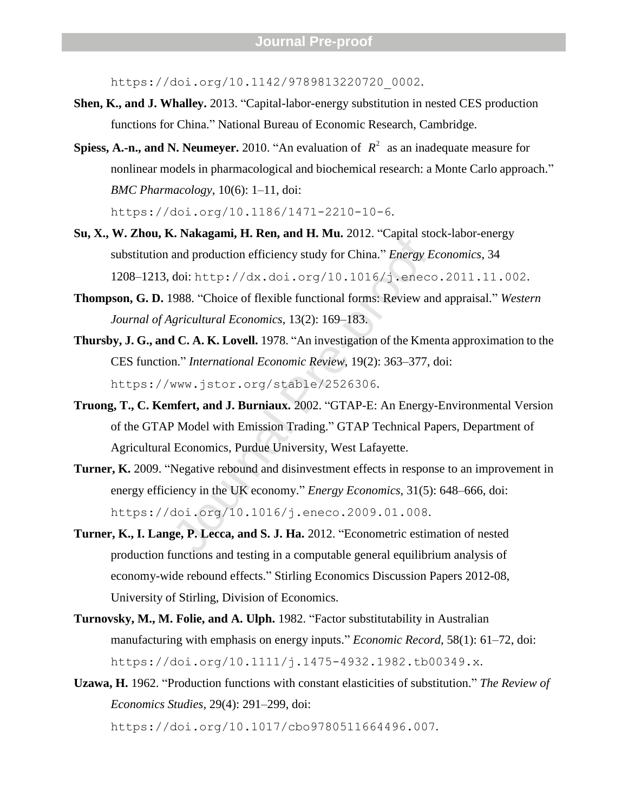https://doi.org/10.1142/9789813220720 0002.

- Shen, K., and J. Whalley. 2013. "Capital-labor-energy substitution in nested CES production functions for China. " National Bureau of Economic Research, Cambridge.
- **Spiess, A.-n., and N. Neumeyer.** 2010. "An evaluation of  $R^2$  as an inadequate measure for nonlinear models in pharmacological and biochemical research: a Monte Carlo approach. " *BMC Pharmacology*, 10(6): 1 –11, doi:

https://doi.org/10.1186/1471-2210-10-6.

- Su, X., W. Zhou, K. Nakagami, H. Ren, and H. Mu. 2012. "Capital stock-labor-energy substitution and production efficiency study for China. " *Energy Economics*, 34 1208 –1213, doi: http://dx.doi.org/10.1016/j.eneco.2011.11.002 .
- **Thompson, G. D.** 1988. "Choice of flexible functional forms: Review and appraisal. " *Western Journal of Agricultural Economics*, 13(2): 169 –183.
- **Example 12**<br>
and production efficiency study for China." *Energy E*<br>
doi: http://dx.doi.org/10.1016/j.enecc<br>
988. "Choice of flexible functional forms: Review an<br> *gricultural Economics*, 13(2): 169–183.<br> **d C. A. K. Lov Thursby, J. G., and C. A. K. Lovell.** 1978. "An investigation of the Kmenta approximation to the CES function. " *International Economic Review*, 19(2): 363 –377, doi: https://www.jstor.org/stable/2526306 .
- Truong, T., C. Kemfert, and J. Burniaux. 2002. "GTAP-E: An Energy-Environmental Version of the GTAP Model with Emission Trading. " GTAP Technical Papers, Department of Agricultural Economics, Purdue University, West Lafayette.
- Turner, K. 2009. "Negative rebound and disinvestment effects in response to an improvement in energy efficiency in the UK economy." *Energy Economics*, 31(5): 648–666, doi: https://doi.org/10.1016/j.eneco.2009.01.008 .
- **Turner, K., I. Lange, P. Lecca, and S. J. Ha.** 2012. "Econometric estimation of nested production functions and testing in a computable general equilibrium analysis of economy-wide rebound effects." Stirling Economics Discussion Papers 2012-08, University of Stirling, Division of Economics.
- **Turnovsky, M., M. Folie, and A. Ulph.** 1982. "Factor substitutability in Australian manufacturing with emphasis on energy inputs. " *Economic Record*, 58(1): 61 –72, doi: https://doi.org/10.1111/j.1475-4932.1982.tb00349.x.
- **Uzawa, H.** 1962. "Production functions with constant elasticities of substitution. " *The Review of Economics Studies*, 29(4): 291 –299, doi: https://doi.org/10.1017/cbo9780511664496.007 .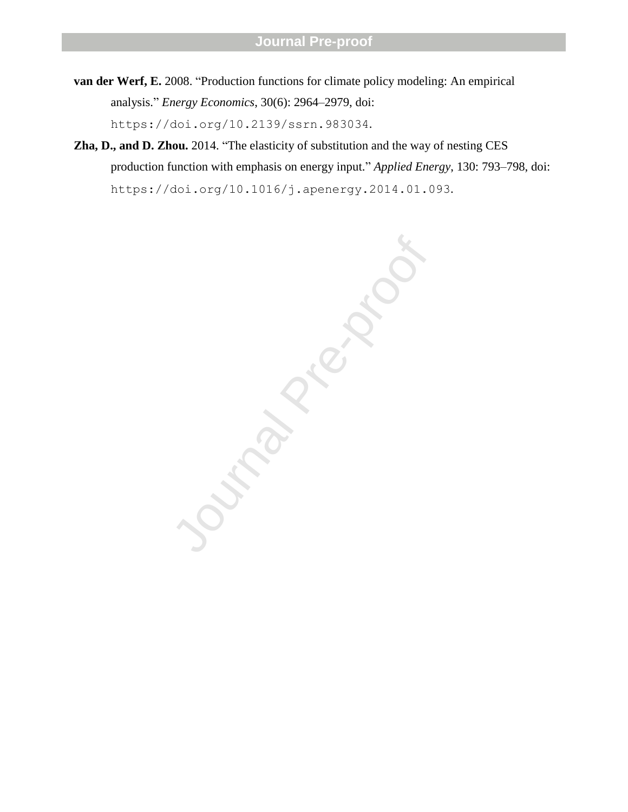- **van der Werf, E.** 2008. "Production functions for climate policy modeling: An empirical analysis." *Energy Economics*, 30(6): 2964–2979, doi: https://doi.org/10.2139/ssrn.983034.
- **Zha, D., and D. Zhou.** 2014. "The elasticity of substitution and the way of nesting CES production function with emphasis on energy input." *Applied Energy*, 130: 793–798, doi: https://doi.org/10.1016/j.apenergy.2014.01.093.

June 1921 - 1922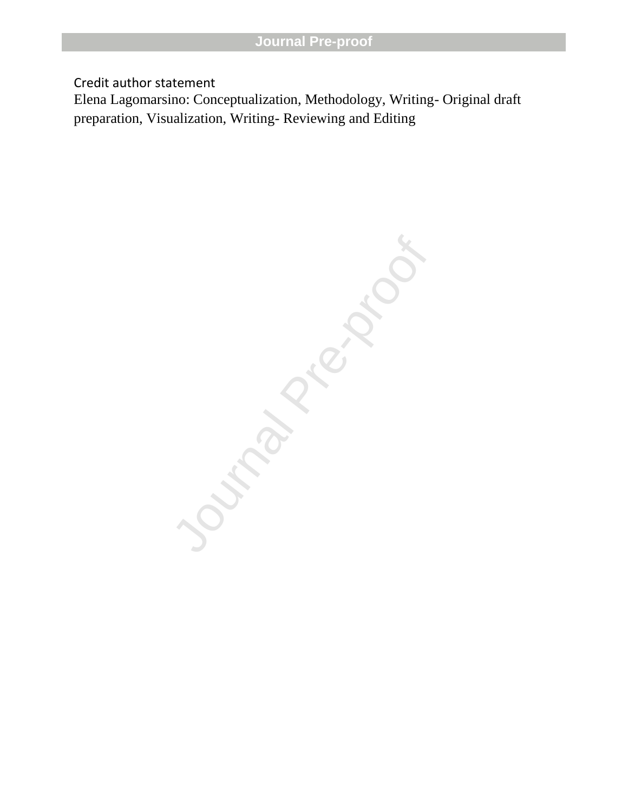Credit author statement

Elena Lagomarsino: Conceptualization, Methodology, Writing- Original draft preparation, Visualization, Writing- Reviewing and Editing

June 1976 Proc